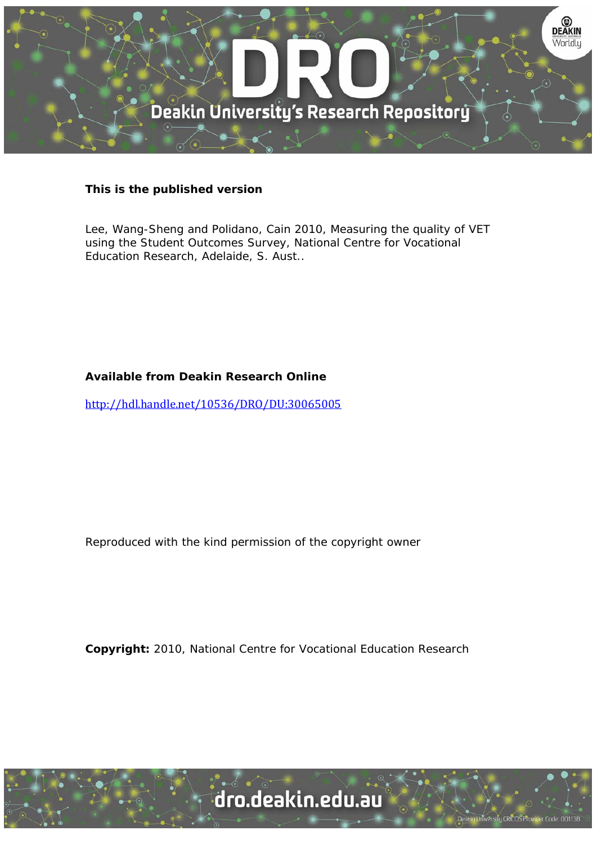

### **This is the published version**

Lee, Wang-Sheng and Polidano, Cain 2010, Measuring the quality of VET using the Student Outcomes Survey, National Centre for Vocational Education Research, Adelaide, S. Aust..

### **Available from Deakin Research Online**

http://hdl.handle.net/10536/DRO/DU:30065005

Reproduced with the kind permission of the copyright owner

**Copyright:** 2010, National Centre for Vocational Education Research

University CRICOS Provider Code: 00113B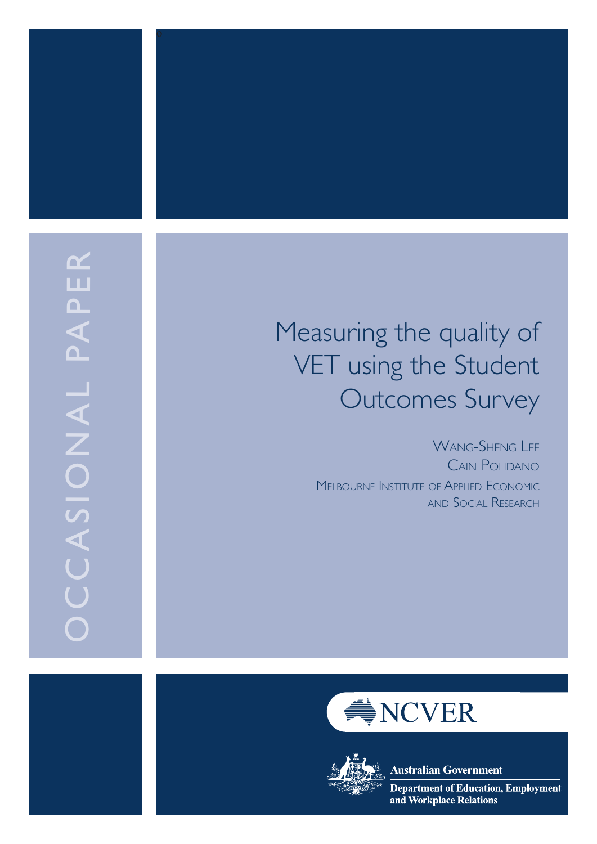

# Measuring the quality of VET using the Student Outcomes Survey

WANG-SHENG LEE Cain Polidano MELBOURNE INSTITUTE OF APPLIED ECONOMI and Social Research c





**Australian Government** 

**Department of Education, Employment** and Workplace Relations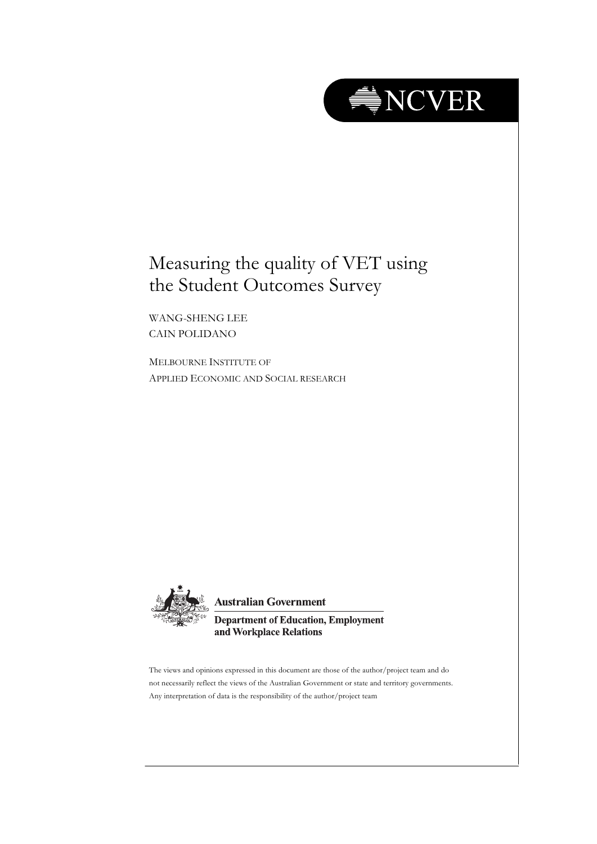

## Measuring the quality of VET using the Student Outcomes Survey

WANG-SHENG LEE CAIN POLIDANO

MELBOURNE INSTITUTE OF APPLIED ECONOMIC AND SOCIAL RESEARCH



**Australian Government** 

**Department of Education, Employment** and Workplace Relations

The views and opinions expressed in this document are those of the author/project team and do not necessarily reflect the views of the Australian Government or state and territory governments. Any interpretation of data is the responsibility of the author/project team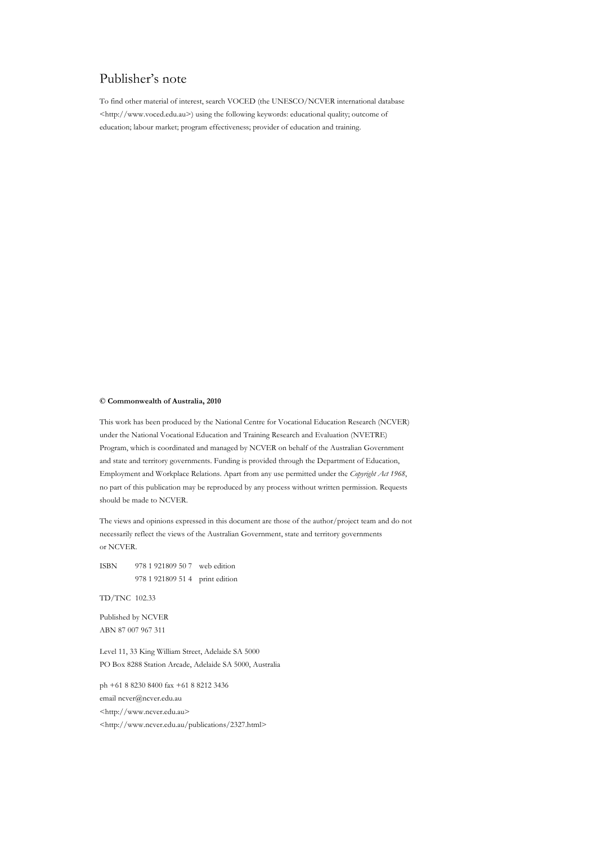### Publisher's note

To find other material of interest, search VOCED (the UNESCO/NCVER international database <http://www.voced.edu.au>) using the following keywords: educational quality; outcome of education; labour market; program effectiveness; provider of education and training.

#### **© Commonwealth of Australia, 2010**

This work has been produced by the National Centre for Vocational Education Research (NCVER) under the National Vocational Education and Training Research and Evaluation (NVETRE) Program, which is coordinated and managed by NCVER on behalf of the Australian Government and state and territory governments. Funding is provided through the Department of Education, Employment and Workplace Relations. Apart from any use permitted under the *Copyright Act 1968*, no part of this publication may be reproduced by any process without written permission. Requests should be made to NCVER.

The views and opinions expressed in this document are those of the author/project team and do not necessarily reflect the views of the Australian Government, state and territory governments or NCVER.

ISBN 978 1 921809 50 7 web edition 978 1 921809 51 4 print edition

TD/TNC 102.33

Published by NCVER ABN 87 007 967 311

Level 11, 33 King William Street, Adelaide SA 5000 PO Box 8288 Station Arcade, Adelaide SA 5000, Australia

ph +61 8 8230 8400 fax +61 8 8212 3436 email ncver@ncver.edu.au <http://www.ncver.edu.au> <http://www.ncver.edu.au/publications/2327.html>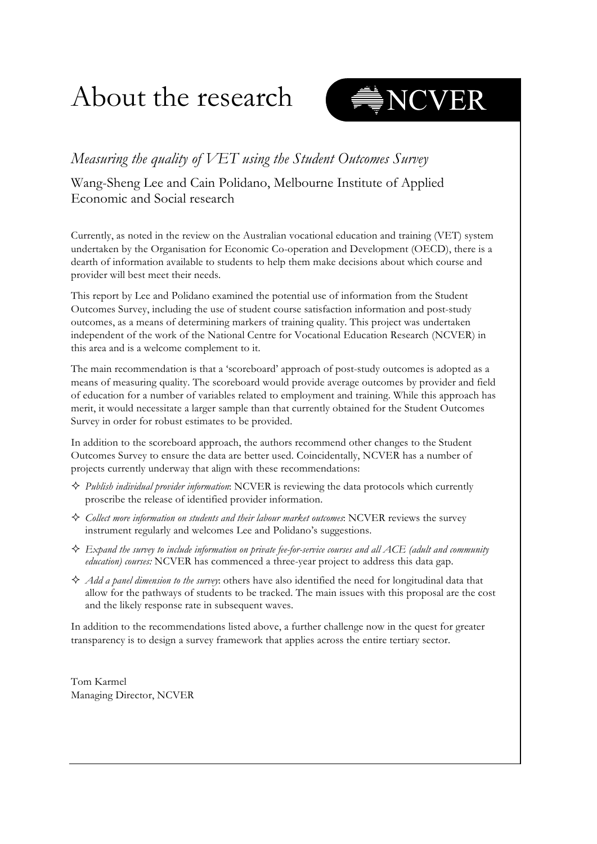# About the research



### *Measuring the quality of VET using the Student Outcomes Survey*

Wang-Sheng Lee and Cain Polidano, Melbourne Institute of Applied Economic and Social research

Currently, as noted in the review on the Australian vocational education and training (VET) system undertaken by the Organisation for Economic Co-operation and Development (OECD), there is a dearth of information available to students to help them make decisions about which course and provider will best meet their needs.

This report by Lee and Polidano examined the potential use of information from the Student Outcomes Survey, including the use of student course satisfaction information and post-study outcomes, as a means of determining markers of training quality. This project was undertaken independent of the work of the National Centre for Vocational Education Research (NCVER) in this area and is a welcome complement to it.

The main recommendation is that a 'scoreboard' approach of post-study outcomes is adopted as a means of measuring quality. The scoreboard would provide average outcomes by provider and field of education for a number of variables related to employment and training. While this approach has merit, it would necessitate a larger sample than that currently obtained for the Student Outcomes Survey in order for robust estimates to be provided.

In addition to the scoreboard approach, the authors recommend other changes to the Student Outcomes Survey to ensure the data are better used. Coincidentally, NCVER has a number of projects currently underway that align with these recommendations:

- *Publish individual provider information*: NCVER is reviewing the data protocols which currently proscribe the release of identified provider information.
- *Collect more information on students and their labour market outcomes*: NCVER reviews the survey instrument regularly and welcomes Lee and Polidano's suggestions.
- *Expand the survey to include information on private fee-for-service courses and all ACE (adult and community education) courses:* NCVER has commenced a three-year project to address this data gap.
- $\Diamond$  *Add a panel dimension to the survey*: others have also identified the need for longitudinal data that allow for the pathways of students to be tracked. The main issues with this proposal are the cost and the likely response rate in subsequent waves.

In addition to the recommendations listed above, a further challenge now in the quest for greater transparency is to design a survey framework that applies across the entire tertiary sector.

Tom Karmel Managing Director, NCVER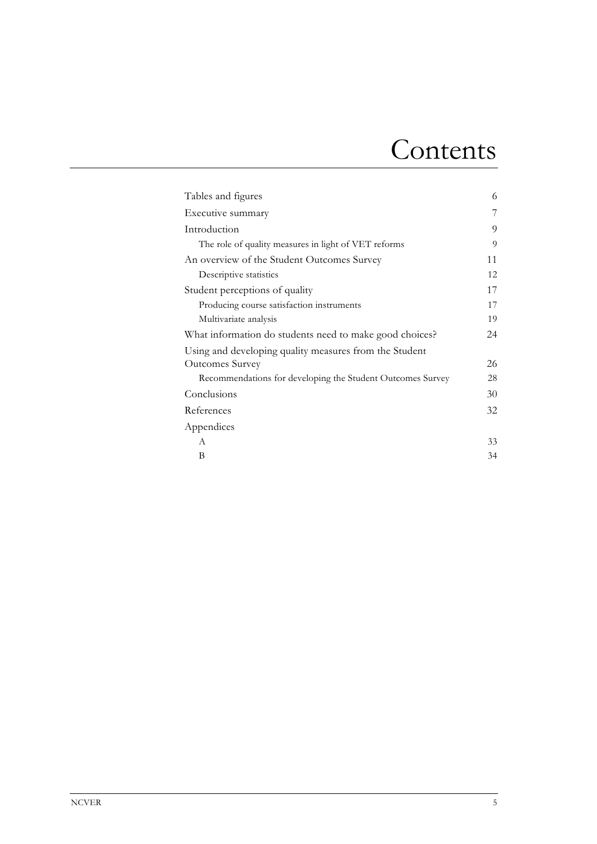# Contents

| Tables and figures                                         | 6  |
|------------------------------------------------------------|----|
| Executive summary                                          | 7  |
| Introduction                                               | 9  |
| The role of quality measures in light of VET reforms       | 9  |
| An overview of the Student Outcomes Survey                 | 11 |
| Descriptive statistics                                     | 12 |
| Student perceptions of quality                             | 17 |
| Producing course satisfaction instruments                  | 17 |
| Multivariate analysis                                      | 19 |
| What information do students need to make good choices?    | 24 |
| Using and developing quality measures from the Student     |    |
| <b>Outcomes Survey</b>                                     | 26 |
| Recommendations for developing the Student Outcomes Survey | 28 |
| Conclusions                                                | 30 |
| References                                                 | 32 |
| Appendices                                                 |    |
| A                                                          | 33 |
| В                                                          | 34 |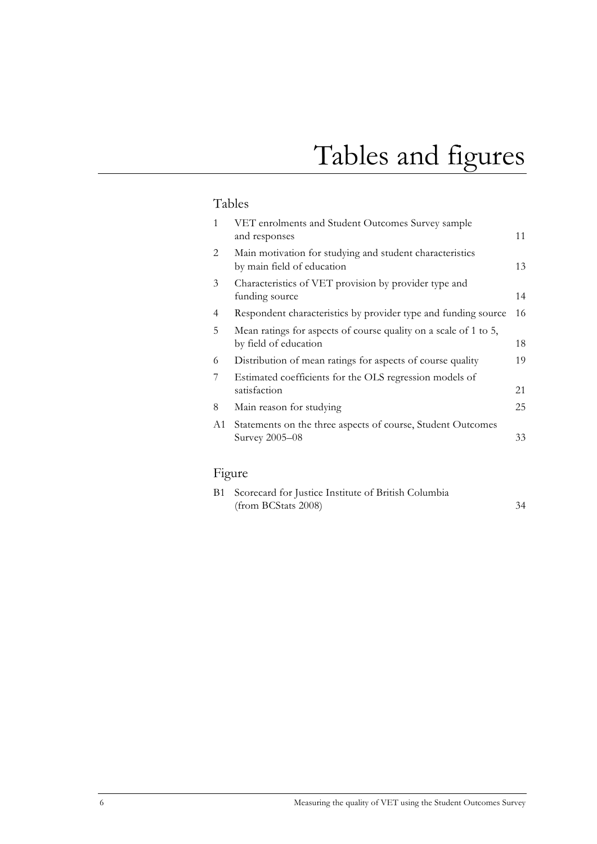# Tables and figures

### Tables

| 1  | VET enrolments and Student Outcomes Survey sample<br>and responses                        | 11 |
|----|-------------------------------------------------------------------------------------------|----|
| 2  | Main motivation for studying and student characteristics<br>by main field of education    | 13 |
| 3  | Characteristics of VET provision by provider type and<br>funding source                   | 14 |
| 4  | Respondent characteristics by provider type and funding source                            | 16 |
| 5  | Mean ratings for aspects of course quality on a scale of 1 to 5,<br>by field of education | 18 |
| 6  | Distribution of mean ratings for aspects of course quality                                | 19 |
| 7  | Estimated coefficients for the OLS regression models of<br>satisfaction                   | 21 |
| 8  | Main reason for studying                                                                  | 25 |
| Α1 | Statements on the three aspects of course, Student Outcomes<br>Survey 2005-08             | 33 |

## Figure

| B1 Scorecard for Justice Institute of British Columbia |  |
|--------------------------------------------------------|--|
| (from BCStats 2008)                                    |  |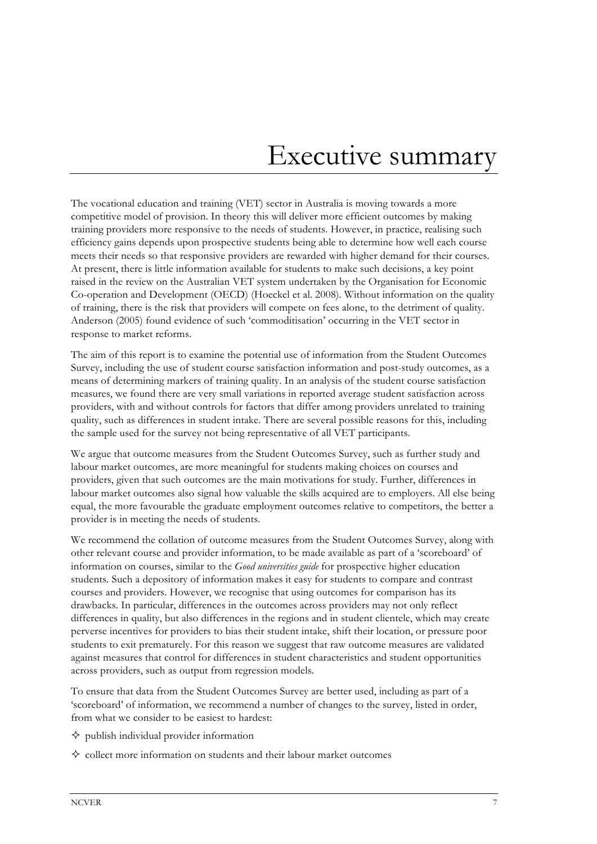## Executive summary

The vocational education and training (VET) sector in Australia is moving towards a more competitive model of provision. In theory this will deliver more efficient outcomes by making training providers more responsive to the needs of students. However, in practice, realising such efficiency gains depends upon prospective students being able to determine how well each course meets their needs so that responsive providers are rewarded with higher demand for their courses. At present, there is little information available for students to make such decisions, a key point raised in the review on the Australian VET system undertaken by the Organisation for Economic Co-operation and Development (OECD) (Hoeckel et al. 2008). Without information on the quality of training, there is the risk that providers will compete on fees alone, to the detriment of quality. Anderson (2005) found evidence of such 'commoditisation' occurring in the VET sector in response to market reforms.

The aim of this report is to examine the potential use of information from the Student Outcomes Survey, including the use of student course satisfaction information and post-study outcomes, as a means of determining markers of training quality. In an analysis of the student course satisfaction measures, we found there are very small variations in reported average student satisfaction across providers, with and without controls for factors that differ among providers unrelated to training quality, such as differences in student intake. There are several possible reasons for this, including the sample used for the survey not being representative of all VET participants.

We argue that outcome measures from the Student Outcomes Survey, such as further study and labour market outcomes, are more meaningful for students making choices on courses and providers, given that such outcomes are the main motivations for study. Further, differences in labour market outcomes also signal how valuable the skills acquired are to employers. All else being equal, the more favourable the graduate employment outcomes relative to competitors, the better a provider is in meeting the needs of students.

We recommend the collation of outcome measures from the Student Outcomes Survey, along with other relevant course and provider information, to be made available as part of a 'scoreboard' of information on courses, similar to the *Good universities guide* for prospective higher education students. Such a depository of information makes it easy for students to compare and contrast courses and providers. However, we recognise that using outcomes for comparison has its drawbacks. In particular, differences in the outcomes across providers may not only reflect differences in quality, but also differences in the regions and in student clientele, which may create perverse incentives for providers to bias their student intake, shift their location, or pressure poor students to exit prematurely. For this reason we suggest that raw outcome measures are validated against measures that control for differences in student characteristics and student opportunities across providers, such as output from regression models.

To ensure that data from the Student Outcomes Survey are better used, including as part of a 'scoreboard' of information, we recommend a number of changes to the survey, listed in order, from what we consider to be easiest to hardest:

- $\diamond$  publish individual provider information
- $\Diamond$  collect more information on students and their labour market outcomes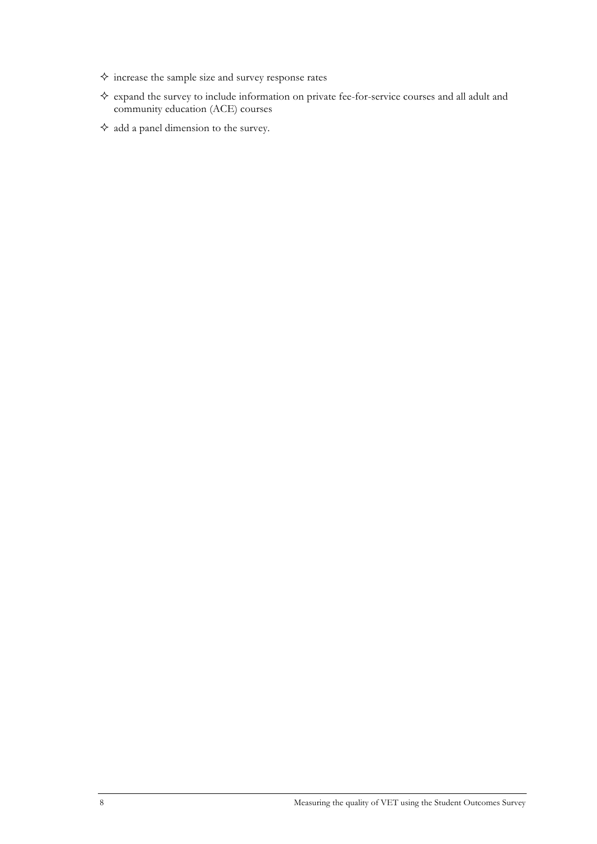- $\diamondsuit$  increase the sample size and survey response rates
- $\diamondsuit$  expand the survey to include information on private fee-for-service courses and all adult and community education (ACE) courses
- $\diamond$  add a panel dimension to the survey.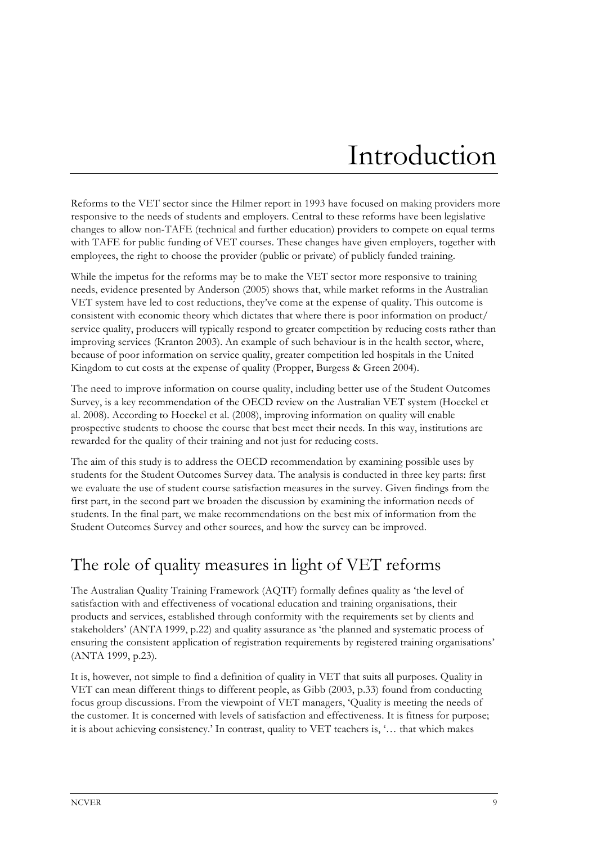# Introduction

Reforms to the VET sector since the Hilmer report in 1993 have focused on making providers more responsive to the needs of students and employers. Central to these reforms have been legislative changes to allow non-TAFE (technical and further education) providers to compete on equal terms with TAFE for public funding of VET courses. These changes have given employers, together with employees, the right to choose the provider (public or private) of publicly funded training.

While the impetus for the reforms may be to make the VET sector more responsive to training needs, evidence presented by Anderson (2005) shows that, while market reforms in the Australian VET system have led to cost reductions, they've come at the expense of quality. This outcome is consistent with economic theory which dictates that where there is poor information on product/ service quality, producers will typically respond to greater competition by reducing costs rather than improving services (Kranton 2003). An example of such behaviour is in the health sector, where, because of poor information on service quality, greater competition led hospitals in the United Kingdom to cut costs at the expense of quality (Propper, Burgess & Green 2004).

The need to improve information on course quality, including better use of the Student Outcomes Survey, is a key recommendation of the OECD review on the Australian VET system (Hoeckel et al. 2008). According to Hoeckel et al. (2008), improving information on quality will enable prospective students to choose the course that best meet their needs. In this way, institutions are rewarded for the quality of their training and not just for reducing costs.

The aim of this study is to address the OECD recommendation by examining possible uses by students for the Student Outcomes Survey data. The analysis is conducted in three key parts: first we evaluate the use of student course satisfaction measures in the survey. Given findings from the first part, in the second part we broaden the discussion by examining the information needs of students. In the final part, we make recommendations on the best mix of information from the Student Outcomes Survey and other sources, and how the survey can be improved.

## The role of quality measures in light of VET reforms

The Australian Quality Training Framework (AQTF) formally defines quality as 'the level of satisfaction with and effectiveness of vocational education and training organisations, their products and services, established through conformity with the requirements set by clients and stakeholders' (ANTA 1999, p.22) and quality assurance as 'the planned and systematic process of ensuring the consistent application of registration requirements by registered training organisations' (ANTA 1999, p.23).

It is, however, not simple to find a definition of quality in VET that suits all purposes. Quality in VET can mean different things to different people, as Gibb (2003, p.33) found from conducting focus group discussions. From the viewpoint of VET managers, 'Quality is meeting the needs of the customer. It is concerned with levels of satisfaction and effectiveness. It is fitness for purpose; it is about achieving consistency.' In contrast, quality to VET teachers is, '… that which makes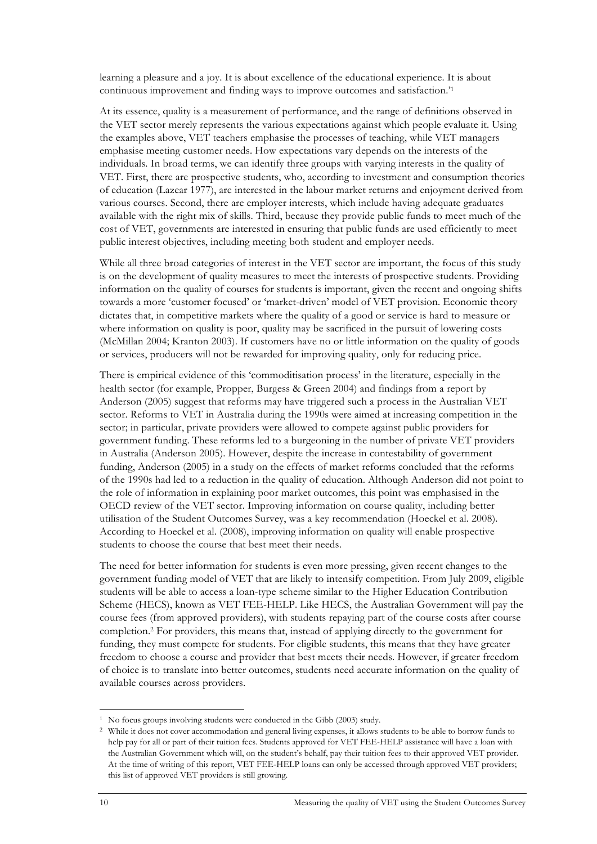learning a pleasure and a joy. It is about excellence of the educational experience. It is about continuous improvement and finding ways to improve outcomes and satisfaction.'1

At its essence, quality is a measurement of performance, and the range of definitions observed in the VET sector merely represents the various expectations against which people evaluate it. Using the examples above, VET teachers emphasise the processes of teaching, while VET managers emphasise meeting customer needs. How expectations vary depends on the interests of the individuals. In broad terms, we can identify three groups with varying interests in the quality of VET. First, there are prospective students, who, according to investment and consumption theories of education (Lazear 1977), are interested in the labour market returns and enjoyment derived from various courses. Second, there are employer interests, which include having adequate graduates available with the right mix of skills. Third, because they provide public funds to meet much of the cost of VET, governments are interested in ensuring that public funds are used efficiently to meet public interest objectives, including meeting both student and employer needs.

While all three broad categories of interest in the VET sector are important, the focus of this study is on the development of quality measures to meet the interests of prospective students. Providing information on the quality of courses for students is important, given the recent and ongoing shifts towards a more 'customer focused' or 'market-driven' model of VET provision. Economic theory dictates that, in competitive markets where the quality of a good or service is hard to measure or where information on quality is poor, quality may be sacrificed in the pursuit of lowering costs (McMillan 2004; Kranton 2003). If customers have no or little information on the quality of goods or services, producers will not be rewarded for improving quality, only for reducing price.

There is empirical evidence of this 'commoditisation process' in the literature, especially in the health sector (for example, Propper, Burgess & Green 2004) and findings from a report by Anderson (2005) suggest that reforms may have triggered such a process in the Australian VET sector. Reforms to VET in Australia during the 1990s were aimed at increasing competition in the sector; in particular, private providers were allowed to compete against public providers for government funding. These reforms led to a burgeoning in the number of private VET providers in Australia (Anderson 2005). However, despite the increase in contestability of government funding, Anderson (2005) in a study on the effects of market reforms concluded that the reforms of the 1990s had led to a reduction in the quality of education. Although Anderson did not point to the role of information in explaining poor market outcomes, this point was emphasised in the OECD review of the VET sector. Improving information on course quality, including better utilisation of the Student Outcomes Survey, was a key recommendation (Hoeckel et al. 2008). According to Hoeckel et al. (2008), improving information on quality will enable prospective students to choose the course that best meet their needs.

The need for better information for students is even more pressing, given recent changes to the government funding model of VET that are likely to intensify competition. From July 2009, eligible students will be able to access a loan-type scheme similar to the Higher Education Contribution Scheme (HECS), known as VET FEE-HELP. Like HECS, the Australian Government will pay the course fees (from approved providers), with students repaying part of the course costs after course completion.2 For providers, this means that, instead of applying directly to the government for funding, they must compete for students. For eligible students, this means that they have greater freedom to choose a course and provider that best meets their needs. However, if greater freedom of choice is to translate into better outcomes, students need accurate information on the quality of available courses across providers.

**.** 

<sup>1</sup> No focus groups involving students were conducted in the Gibb (2003) study.

<sup>2</sup> While it does not cover accommodation and general living expenses, it allows students to be able to borrow funds to help pay for all or part of their tuition fees. Students approved for VET FEE-HELP assistance will have a loan with the Australian Government which will, on the student's behalf, pay their tuition fees to their approved VET provider. At the time of writing of this report, VET FEE-HELP loans can only be accessed through approved VET providers; this list of approved VET providers is still growing.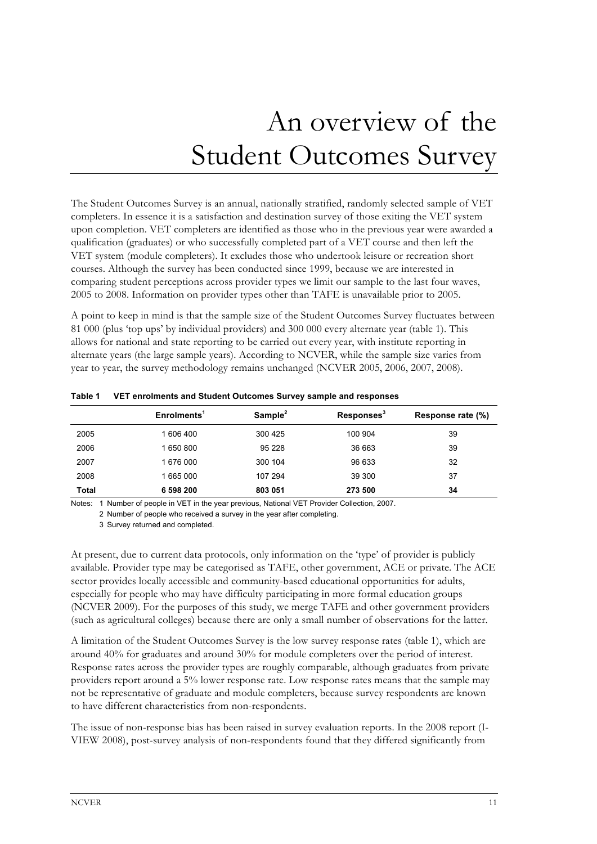# An overview of the Student Outcomes Survey

The Student Outcomes Survey is an annual, nationally stratified, randomly selected sample of VET completers. In essence it is a satisfaction and destination survey of those exiting the VET system upon completion. VET completers are identified as those who in the previous year were awarded a qualification (graduates) or who successfully completed part of a VET course and then left the VET system (module completers). It excludes those who undertook leisure or recreation short courses. Although the survey has been conducted since 1999, because we are interested in comparing student perceptions across provider types we limit our sample to the last four waves, 2005 to 2008. Information on provider types other than TAFE is unavailable prior to 2005.

A point to keep in mind is that the sample size of the Student Outcomes Survey fluctuates between 81 000 (plus 'top ups' by individual providers) and 300 000 every alternate year (table 1). This allows for national and state reporting to be carried out every year, with institute reporting in alternate years (the large sample years). According to NCVER, while the sample size varies from year to year, the survey methodology remains unchanged (NCVER 2005, 2006, 2007, 2008).

|              | Enrolments <sup>1</sup> | Sample <sup>2</sup> | $\mathsf{Response}^3$ | Response rate (%) |
|--------------|-------------------------|---------------------|-----------------------|-------------------|
| 2005         | 1 606 400               | 300 425             | 100 904               | 39                |
| 2006         | 1 650 800               | 95 228              | 36 663                | 39                |
| 2007         | 1676000                 | 300 104             | 96 633                | 32                |
| 2008         | 1 665 000               | 107 294             | 39 300                | 37                |
| <b>Total</b> | 6 598 200               | 803 051             | 273 500               | 34                |

#### **Table 1 VET enrolments and Student Outcomes Survey sample and responses**

Notes: 1 Number of people in VET in the year previous, National VET Provider Collection, 2007.

2 Number of people who received a survey in the year after completing.

At present, due to current data protocols, only information on the 'type' of provider is publicly available. Provider type may be categorised as TAFE, other government, ACE or private. The ACE sector provides locally accessible and community-based educational opportunities for adults, especially for people who may have difficulty participating in more formal education groups (NCVER 2009). For the purposes of this study, we merge TAFE and other government providers (such as agricultural colleges) because there are only a small number of observations for the latter.

A limitation of the Student Outcomes Survey is the low survey response rates (table 1), which are around 40% for graduates and around 30% for module completers over the period of interest. Response rates across the provider types are roughly comparable, although graduates from private providers report around a 5% lower response rate. Low response rates means that the sample may not be representative of graduate and module completers, because survey respondents are known to have different characteristics from non-respondents.

The issue of non-response bias has been raised in survey evaluation reports. In the 2008 report (I-VIEW 2008), post-survey analysis of non-respondents found that they differed significantly from

<sup>3</sup> Survey returned and completed.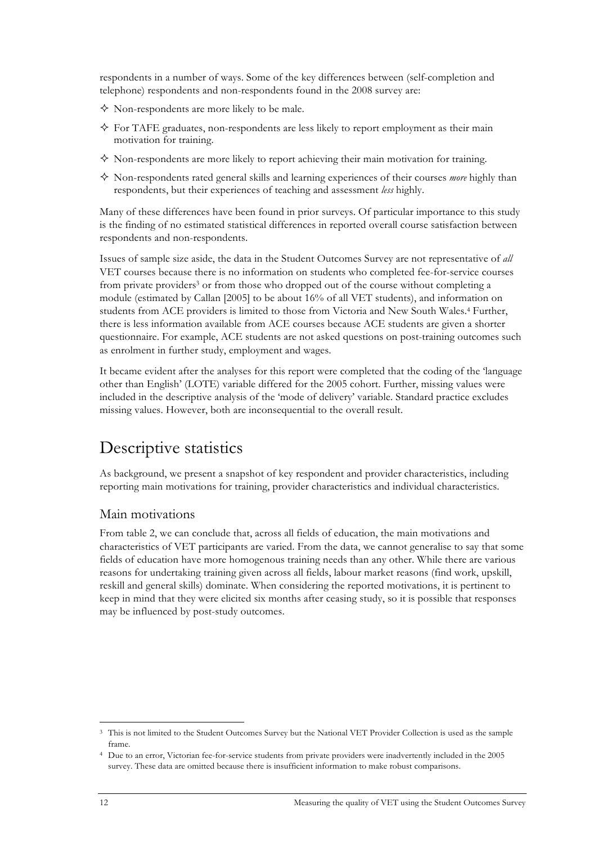respondents in a number of ways. Some of the key differences between (self-completion and telephone) respondents and non-respondents found in the 2008 survey are:

- Non-respondents are more likely to be male.
- $\Diamond$  For TAFE graduates, non-respondents are less likely to report employment as their main motivation for training.
- $\diamond$  Non-respondents are more likely to report achieving their main motivation for training.
- Non-respondents rated general skills and learning experiences of their courses *more* highly than respondents, but their experiences of teaching and assessment *less* highly.

Many of these differences have been found in prior surveys. Of particular importance to this study is the finding of no estimated statistical differences in reported overall course satisfaction between respondents and non-respondents.

Issues of sample size aside, the data in the Student Outcomes Survey are not representative of *all* VET courses because there is no information on students who completed fee-for-service courses from private providers<sup>3</sup> or from those who dropped out of the course without completing a module (estimated by Callan [2005] to be about 16% of all VET students), and information on students from ACE providers is limited to those from Victoria and New South Wales.4 Further, there is less information available from ACE courses because ACE students are given a shorter questionnaire. For example, ACE students are not asked questions on post-training outcomes such as enrolment in further study, employment and wages.

It became evident after the analyses for this report were completed that the coding of the 'language other than English' (LOTE) variable differed for the 2005 cohort. Further, missing values were included in the descriptive analysis of the 'mode of delivery' variable. Standard practice excludes missing values. However, both are inconsequential to the overall result.

## Descriptive statistics

As background, we present a snapshot of key respondent and provider characteristics, including reporting main motivations for training, provider characteristics and individual characteristics.

### Main motivations

From table 2, we can conclude that, across all fields of education, the main motivations and characteristics of VET participants are varied. From the data, we cannot generalise to say that some fields of education have more homogenous training needs than any other. While there are various reasons for undertaking training given across all fields, labour market reasons (find work, upskill, reskill and general skills) dominate. When considering the reported motivations, it is pertinent to keep in mind that they were elicited six months after ceasing study, so it is possible that responses may be influenced by post-study outcomes.

**.** 

<sup>3</sup> This is not limited to the Student Outcomes Survey but the National VET Provider Collection is used as the sample frame.

Due to an error, Victorian fee-for-service students from private providers were inadvertently included in the 2005 survey. These data are omitted because there is insufficient information to make robust comparisons.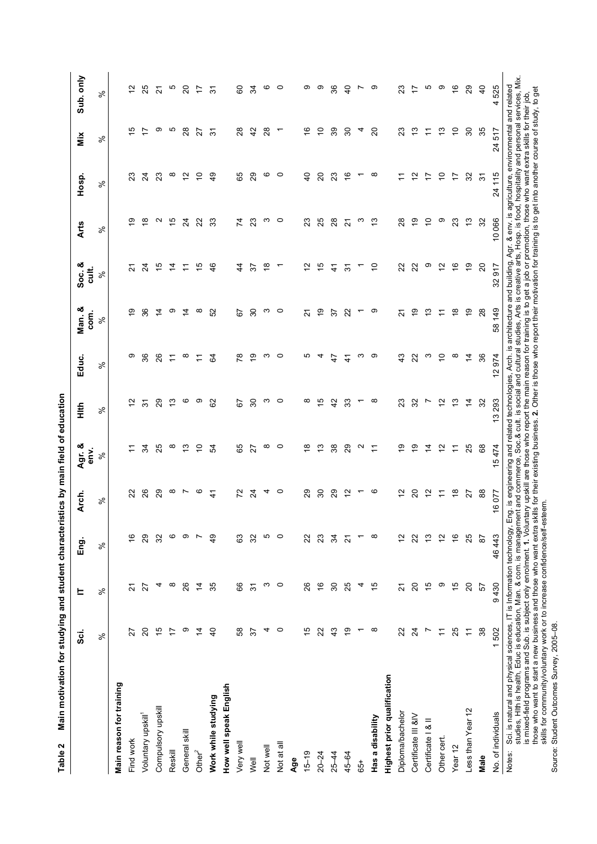| Main motivation for studying and student characteristics by main field of education<br>Table 2                                                                                                                                                                                                                                                                                                                                                                                                                                                                                                             |                          |                  |                          |                          |                   |                 |                |                                                                                                                                         |                          |                   |                |                         |                |
|------------------------------------------------------------------------------------------------------------------------------------------------------------------------------------------------------------------------------------------------------------------------------------------------------------------------------------------------------------------------------------------------------------------------------------------------------------------------------------------------------------------------------------------------------------------------------------------------------------|--------------------------|------------------|--------------------------|--------------------------|-------------------|-----------------|----------------|-----------------------------------------------------------------------------------------------------------------------------------------|--------------------------|-------------------|----------------|-------------------------|----------------|
|                                                                                                                                                                                                                                                                                                                                                                                                                                                                                                                                                                                                            | sö.                      | 느                | Eng.                     | Arch.                    | Agr. &<br>env.    | 蔓               | Educ.          | Man. &<br>com.                                                                                                                          | Soc. &<br>cult.          | <b>Arts</b>       | Hosp.          | Mix                     | Sub. only      |
|                                                                                                                                                                                                                                                                                                                                                                                                                                                                                                                                                                                                            | ಸಿ                       | ಸಿ               | ಸಿ                       | ৡ                        | ಸಿ                | $\%$            | $\%$           | ಸಿ                                                                                                                                      | వ్                       | ৡ                 | ಸಿ             | ಸಿ                      | వి             |
| Main reason for training                                                                                                                                                                                                                                                                                                                                                                                                                                                                                                                                                                                   |                          |                  |                          |                          |                   |                 |                |                                                                                                                                         |                          |                   |                |                         |                |
| Find work                                                                                                                                                                                                                                                                                                                                                                                                                                                                                                                                                                                                  | 22                       | <u>প</u>         | $\frac{6}{1}$            | 22                       | ÷                 | 5               | တ              | စ္                                                                                                                                      | 21                       | ల్ల               | 23             | ഥ                       | ₽              |
| Voluntary upskill <sup>1</sup>                                                                                                                                                                                                                                                                                                                                                                                                                                                                                                                                                                             | ସ                        | 27               | 29                       | 26                       | S4                | $\frac{1}{2}$   | 36             | 36                                                                                                                                      | $\overline{2}$           | ₽                 | $^{24}$        | $\overline{z}$          | 25             |
| Compulsory upskill                                                                                                                                                                                                                                                                                                                                                                                                                                                                                                                                                                                         | 15                       | 4                | 32                       | 29                       | 25                | 29              | 26             | 4                                                                                                                                       | $\frac{1}{2}$            | $\mathbf{\Omega}$ | 23             | ၜ                       | 21             |
| Reskill                                                                                                                                                                                                                                                                                                                                                                                                                                                                                                                                                                                                    | 17                       | ∞                | ဖ                        | ∞                        | ∞                 | 13              | F              | တ                                                                                                                                       | $\overline{4}$           | جة                | ∞              | Ю                       | Ю              |
| General skill                                                                                                                                                                                                                                                                                                                                                                                                                                                                                                                                                                                              | တ                        | 26               | ၜ                        | Ľ                        | 5                 | ဖ               | ∞              | 4                                                                                                                                       | $\overline{r}$           | $\overline{2}$    | ₽              | 28                      | 20             |
| Other $^{2}$                                                                                                                                                                                                                                                                                                                                                                                                                                                                                                                                                                                               | $\overline{4}$           | $\overline{4}$   | $\overline{ }$           | ဖ                        | $\tilde{a}$       | တ               | ≂              | $\infty$                                                                                                                                | 15                       | $\mathbf{z}$      | ₽              | 27                      | 17             |
| Work while studying                                                                                                                                                                                                                                                                                                                                                                                                                                                                                                                                                                                        | $\overline{4}$           | 35               | $\overline{49}$          | $\frac{4}{5}$            | Ŗ,                | 82              | \$             | S                                                                                                                                       | 46                       | 33                | ą,             | $\overline{5}$          | $\frac{1}{2}$  |
| How well speak English                                                                                                                                                                                                                                                                                                                                                                                                                                                                                                                                                                                     |                          |                  |                          |                          |                   |                 |                |                                                                                                                                         |                          |                   |                |                         |                |
| Very wel                                                                                                                                                                                                                                                                                                                                                                                                                                                                                                                                                                                                   | 8                        | 89               | යි                       | 22                       | 89                | 55              | $\frac{8}{2}$  | 5                                                                                                                                       | 44                       | 74                | 65             | 28                      | 8              |
| Well                                                                                                                                                                                                                                                                                                                                                                                                                                                                                                                                                                                                       | 57                       | $\overline{5}$   | 32                       | $\overline{2}$           | 22                | $\overline{30}$ | Ö,             | 80                                                                                                                                      | 57                       | 23                | 29             | $\overline{4}$          | 34             |
| Not well                                                                                                                                                                                                                                                                                                                                                                                                                                                                                                                                                                                                   | 4                        | ო                | Ю                        | 4                        | $\infty$          | S               | က              | က                                                                                                                                       | $\frac{8}{1}$            | ო                 | ဖ              | 28                      | ဖ              |
| Not at all                                                                                                                                                                                                                                                                                                                                                                                                                                                                                                                                                                                                 | $\circ$                  | $\circ$          | $\circ$                  | $\circ$                  | $\circ$           | $\circ$         | $\circ$        | $\circ$                                                                                                                                 | $\overline{\phantom{0}}$ | $\circ$           | $\circ$        | ↽                       | $\circ$        |
| Age                                                                                                                                                                                                                                                                                                                                                                                                                                                                                                                                                                                                        |                          |                  |                          |                          |                   |                 |                |                                                                                                                                         |                          |                   |                |                         |                |
| $15 - 19$                                                                                                                                                                                                                                                                                                                                                                                                                                                                                                                                                                                                  | 15                       | 26               | 22                       | 29                       | $\frac{8}{1}$     | $^\infty$       | Ю              | ಸ                                                                                                                                       | $\tilde{c}$              | 23                | $\overline{a}$ | $\overset{\circ}{\tau}$ | တ              |
| $20 - 24$                                                                                                                                                                                                                                                                                                                                                                                                                                                                                                                                                                                                  | 22                       | $\frac{6}{5}$    | 23                       | $\overline{30}$          | చ                 | $\frac{5}{2}$   | 4              | é,                                                                                                                                      | 15                       | 25                | $\Omega$       | <u>ب</u>                | ၜ              |
| $25 - 44$                                                                                                                                                                                                                                                                                                                                                                                                                                                                                                                                                                                                  | 43                       | $\boldsymbol{S}$ | 34                       | 29                       | 38                | 42              | 47             | 57                                                                                                                                      | $\ddot{4}$               | $^{28}$           | 23             | 39                      | 36             |
| 45-64                                                                                                                                                                                                                                                                                                                                                                                                                                                                                                                                                                                                      | စ္                       | 25               | $\overline{\mathcal{S}}$ | $\frac{2}{3}$            | 29                | 33              | $\frac{4}{3}$  | 22                                                                                                                                      | $\overline{5}$           | $\overline{2}$    | $\frac{6}{5}$  | 30                      | $\overline{4}$ |
| 65+                                                                                                                                                                                                                                                                                                                                                                                                                                                                                                                                                                                                        | $\overline{\phantom{0}}$ | 4                | $\overline{\phantom{0}}$ | $\overline{\phantom{0}}$ | $\mathbf{\Omega}$ | ٣               | က              | ↽                                                                                                                                       | $\overline{ }$           | ო                 | ᡪ              | 4                       | Ľ              |
| Has a disability                                                                                                                                                                                                                                                                                                                                                                                                                                                                                                                                                                                           | $\infty$                 | $\frac{5}{1}$    | $\infty$                 | ဖ                        | $\tilde{t}$       | $\infty$        | တ              | ၜ                                                                                                                                       | ₽                        | مبر<br>ب          | $\infty$       | $\Omega$                | တ              |
| Highest prior qualification                                                                                                                                                                                                                                                                                                                                                                                                                                                                                                                                                                                |                          |                  |                          |                          |                   |                 |                |                                                                                                                                         |                          |                   |                |                         |                |
| Diploma/bachelor                                                                                                                                                                                                                                                                                                                                                                                                                                                                                                                                                                                           | 22                       | $\overline{2}$   | $\frac{1}{2}$            | $\tilde{c}$              | Ő,                | 23              | 43             | 2                                                                                                                                       | 22                       | 28                |                | 23                      | ಔ              |
| Certificate III &IV                                                                                                                                                                                                                                                                                                                                                                                                                                                                                                                                                                                        | $\overline{2}$           | $\overline{20}$  | 22                       | $\Omega$                 | စ္                | 32              | 22             | စ္                                                                                                                                      | 22                       | e,                | $\frac{1}{2}$  | చ                       | 17             |
| Certificate   & II                                                                                                                                                                                                                                                                                                                                                                                                                                                                                                                                                                                         | L                        | $\frac{1}{2}$    | $\frac{3}{2}$            | $\frac{1}{2}$            | $\overline{4}$    | $\overline{ }$  | ო              | 13                                                                                                                                      | თ                        | $\tilde{c}$       | 17             | Ξ                       | 5              |
| Other cert                                                                                                                                                                                                                                                                                                                                                                                                                                                                                                                                                                                                 | $\overline{r}$           | တ                | $\tilde{c}$              | $\overline{r}$           | $\tilde{c}$       | $\tilde{c}$     | $\overline{c}$ | Ξ                                                                                                                                       | $\frac{1}{2}$            | စ                 | $\overline{C}$ | ి                       | ၜ              |
| Year <sub>12</sub>                                                                                                                                                                                                                                                                                                                                                                                                                                                                                                                                                                                         | 25                       | 15               | $\frac{6}{5}$            | $\frac{8}{1}$            | $\overline{a}$    | 13              | $\infty$       | $\frac{8}{1}$                                                                                                                           | $\frac{6}{5}$            | 23                | 17             | $\tilde{c}$             | $\frac{6}{5}$  |
| Less than Year 12                                                                                                                                                                                                                                                                                                                                                                                                                                                                                                                                                                                          | $\overline{r}$           | $\overline{20}$  | 25                       | 27                       | 25                | $\overline{4}$  | $\overline{4}$ | é,                                                                                                                                      | $\frac{6}{1}$            | $\frac{3}{2}$     | 32             | $\boldsymbol{S}$        | 29             |
| Male                                                                                                                                                                                                                                                                                                                                                                                                                                                                                                                                                                                                       | 38                       | 57               | $\overline{8}$           | 88                       | 89                | 32              | 36             | 28                                                                                                                                      | $\Omega$                 | 32                | $\overline{5}$ | 35                      | $\overline{4}$ |
| No. of individuals                                                                                                                                                                                                                                                                                                                                                                                                                                                                                                                                                                                         | 1502                     | 9430             | 46443                    | 16077                    | 15474             | 13 293          | 12974          | 58 149                                                                                                                                  | 32917                    | 10066             | 24 115         | 24517                   | 4525           |
| studies, Hlth is health, Educ is education, Man. & com. is management and commerce, Soc.& cult. is social and cultural studies, Arts is creative arts, Hosp. is food, hospitality and personal services, Mix<br>is mixed-field programs and Sub. is subject only enrolment. 1. Voluntary upskill are those who report the main reason for training is to get a job or promotion, those who want extra skills for their job,<br>those who want to<br>skills for community/voluntary work or to increase confidence/self-e<br>Sci. is natural and physical sciences, IT is Information technology,<br>Notes: |                          |                  |                          | steem.                   |                   |                 |                | Eng. is engineering and related technologies, Arch. is architecture and building, Agr. & env. is agriculture, environmental and related |                          |                   |                |                         |                |

Source: Student Outcomes Survey, 2005-08. Source: Student Outcomes Survey, 2005–08.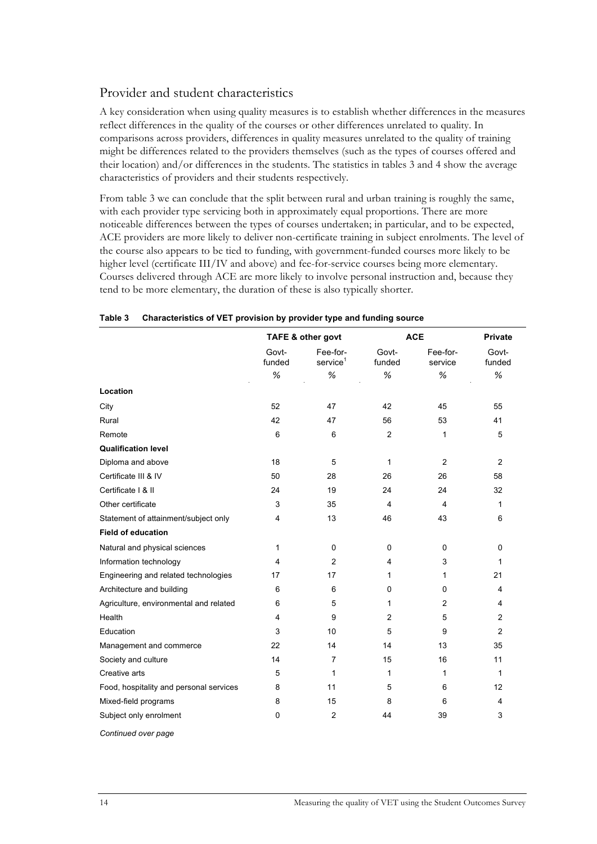### Provider and student characteristics

A key consideration when using quality measures is to establish whether differences in the measures reflect differences in the quality of the courses or other differences unrelated to quality. In comparisons across providers, differences in quality measures unrelated to the quality of training might be differences related to the providers themselves (such as the types of courses offered and their location) and/or differences in the students. The statistics in tables 3 and 4 show the average characteristics of providers and their students respectively.

From table 3 we can conclude that the split between rural and urban training is roughly the same, with each provider type servicing both in approximately equal proportions. There are more noticeable differences between the types of courses undertaken; in particular, and to be expected, ACE providers are more likely to deliver non-certificate training in subject enrolments. The level of the course also appears to be tied to funding, with government-funded courses more likely to be higher level (certificate III/IV and above) and fee-for-service courses being more elementary. Courses delivered through ACE are more likely to involve personal instruction and, because they tend to be more elementary, the duration of these is also typically shorter.

|                                         | TAFE & other govt |                                     |                 | <b>ACE</b>          | <b>Private</b>  |
|-----------------------------------------|-------------------|-------------------------------------|-----------------|---------------------|-----------------|
|                                         | Govt-<br>funded   | Fee-for-<br>$s$ ervice <sup>1</sup> | Govt-<br>funded | Fee-for-<br>service | Govt-<br>funded |
|                                         | %                 | $\%$                                | %               | %                   | %               |
| Location                                |                   |                                     |                 |                     |                 |
| City                                    | 52                | 47                                  | 42              | 45                  | 55              |
| Rural                                   | 42                | 47                                  | 56              | 53                  | 41              |
| Remote                                  | 6                 | 6                                   | $\overline{2}$  | 1                   | 5               |
| <b>Qualification level</b>              |                   |                                     |                 |                     |                 |
| Diploma and above                       | 18                | 5                                   | 1               | $\overline{2}$      | $\overline{2}$  |
| Certificate III & IV                    | 50                | 28                                  | 26              | 26                  | 58              |
| Certificate   & II                      | 24                | 19                                  | 24              | 24                  | 32              |
| Other certificate                       | 3                 | 35                                  | 4               | 4                   | 1               |
| Statement of attainment/subject only    | $\overline{4}$    | 13                                  | 46              | 43                  | 6               |
| <b>Field of education</b>               |                   |                                     |                 |                     |                 |
| Natural and physical sciences           | 1                 | 0                                   | 0               | 0                   | $\mathbf 0$     |
| Information technology                  | 4                 | $\overline{2}$                      | 4               | 3                   | $\mathbf{1}$    |
| Engineering and related technologies    | 17                | 17                                  | 1               | 1                   | 21              |
| Architecture and building               | 6                 | 6                                   | 0               | 0                   | $\overline{4}$  |
| Agriculture, environmental and related  | 6                 | 5                                   | 1               | $\overline{2}$      | 4               |
| Health                                  | $\overline{4}$    | 9                                   | $\overline{2}$  | 5                   | 2               |
| Education                               | 3                 | 10                                  | 5               | 9                   | 2               |
| Management and commerce                 | 22                | 14                                  | 14              | 13                  | 35              |
| Society and culture                     | 14                | $\overline{7}$                      | 15              | 16                  | 11              |
| Creative arts                           | 5                 | 1                                   | 1               | 1                   | 1               |
| Food, hospitality and personal services | 8                 | 11                                  | 5               | 6                   | 12              |
| Mixed-field programs                    | 8                 | 15                                  | 8               | 6                   | 4               |
| Subject only enrolment                  | $\Omega$          | $\overline{2}$                      | 44              | 39                  | 3               |
| Continued over page                     |                   |                                     |                 |                     |                 |

#### **Table 3 Characteristics of VET provision by provider type and funding source**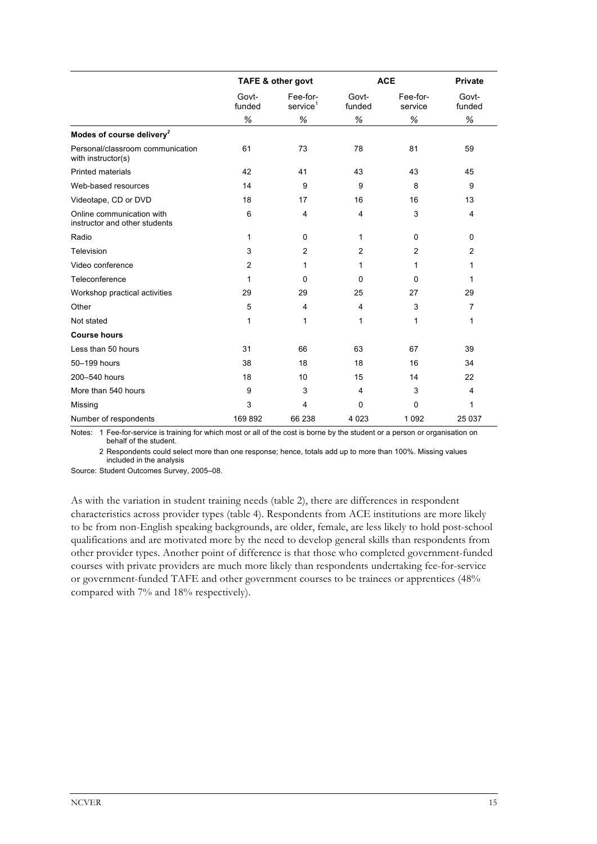|                                                            |                 | <b>TAFE &amp; other govt</b>     |                 | <b>ACE</b>          | <b>Private</b>  |  |
|------------------------------------------------------------|-----------------|----------------------------------|-----------------|---------------------|-----------------|--|
|                                                            | Govt-<br>funded | Fee-for-<br>service <sup>1</sup> | Govt-<br>funded | Fee-for-<br>service | Govt-<br>funded |  |
|                                                            | $\%$            | $\%$                             | $\%$            | $\%$                | $\%$            |  |
| Modes of course delivery <sup>2</sup>                      |                 |                                  |                 |                     |                 |  |
| Personal/classroom communication<br>with instructor(s)     | 61              | 73                               | 78              | 81                  | 59              |  |
| <b>Printed materials</b>                                   | 42              | 41                               | 43              | 43                  | 45              |  |
| Web-based resources                                        | 14              | 9                                | 9               | 8                   | 9               |  |
| Videotape, CD or DVD                                       | 18              | 17                               | 16              | 16                  | 13              |  |
| Online communication with<br>instructor and other students | 6               | 4                                | $\overline{4}$  | 3                   | 4               |  |
| Radio                                                      | $\mathbf{1}$    | $\mathbf 0$                      | 1               | 0                   | 0               |  |
| Television                                                 | 3               | $\overline{2}$                   | $\overline{2}$  | $\overline{2}$      | $\overline{2}$  |  |
| Video conference                                           | $\overline{2}$  | 1                                | 1               | 1                   | 1               |  |
| Teleconference                                             | 1               | 0                                | 0               | 0                   | 1               |  |
| Workshop practical activities                              | 29              | 29                               | 25              | 27                  | 29              |  |
| Other                                                      | 5               | $\overline{4}$                   | 4               | 3                   | $\overline{7}$  |  |
| Not stated                                                 | 1               | 1                                | 1               | $\mathbf{1}$        | 1               |  |
| <b>Course hours</b>                                        |                 |                                  |                 |                     |                 |  |
| Less than 50 hours                                         | 31              | 66                               | 63              | 67                  | 39              |  |
| 50-199 hours                                               | 38              | 18                               | 18              | 16                  | 34              |  |
| 200-540 hours                                              | 18              | 10                               | 15              | 14                  | 22              |  |
| More than 540 hours                                        | 9               | 3                                | $\overline{4}$  | 3                   | $\overline{4}$  |  |
| Missing                                                    | 3               | $\overline{4}$                   | 0               | 0                   | 1               |  |
| Number of respondents                                      | 169892          | 66 238                           | 4 0 2 3         | 1 0 9 2             | 25 0 37         |  |

Notes: 1 Fee-for-service is training for which most or all of the cost is borne by the student or a person or organisation on behalf of the student.

2 Respondents could select more than one response; hence, totals add up to more than 100%. Missing values included in the analysis

Source: Student Outcomes Survey, 2005–08.

As with the variation in student training needs (table 2), there are differences in respondent characteristics across provider types (table 4). Respondents from ACE institutions are more likely to be from non-English speaking backgrounds, are older, female, are less likely to hold post-school qualifications and are motivated more by the need to develop general skills than respondents from other provider types. Another point of difference is that those who completed government-funded courses with private providers are much more likely than respondents undertaking fee-for-service or government-funded TAFE and other government courses to be trainees or apprentices (48% compared with 7% and 18% respectively).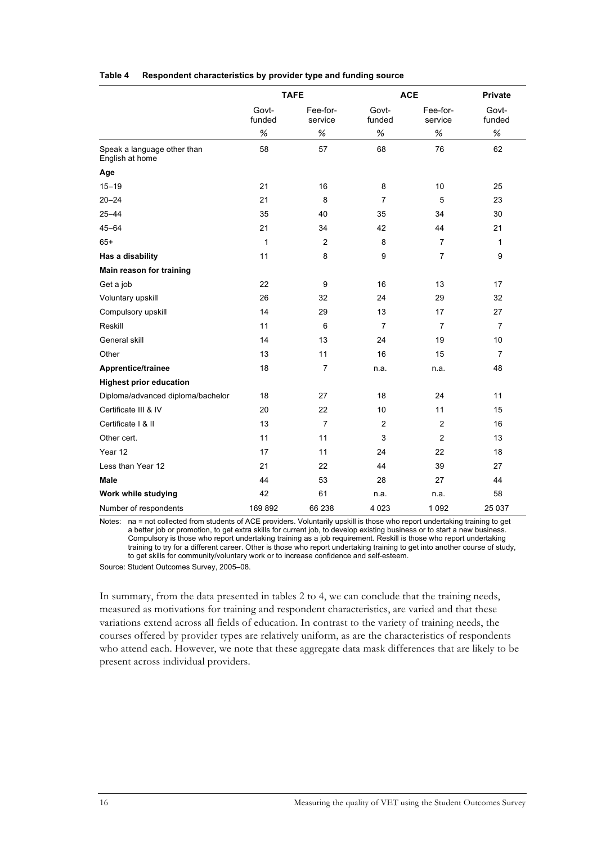|                                                |                 | <b>TAFE</b>         |                 | <b>ACE</b>          | <b>Private</b>  |
|------------------------------------------------|-----------------|---------------------|-----------------|---------------------|-----------------|
|                                                | Govt-<br>funded | Fee-for-<br>service | Govt-<br>funded | Fee-for-<br>service | Govt-<br>funded |
|                                                | %               | %                   | %               | $\%$                | $\%$            |
| Speak a language other than<br>English at home | 58              | 57                  | 68              | 76                  | 62              |
| Age                                            |                 |                     |                 |                     |                 |
| $15 - 19$                                      | 21              | 16                  | 8               | 10                  | 25              |
| $20 - 24$                                      | 21              | 8                   | $\overline{7}$  | 5                   | 23              |
| $25 - 44$                                      | 35              | 40                  | 35              | 34                  | 30              |
| $45 - 64$                                      | 21              | 34                  | 42              | 44                  | 21              |
| $65+$                                          | 1               | $\overline{2}$      | 8               | 7                   | 1               |
| Has a disability                               | 11              | 8                   | 9               | $\overline{7}$      | 9               |
| Main reason for training                       |                 |                     |                 |                     |                 |
| Get a job                                      | 22              | 9                   | 16              | 13                  | 17              |
| Voluntary upskill                              | 26              | 32                  | 24              | 29                  | 32              |
| Compulsory upskill                             | 14              | 29                  | 13              | 17                  | 27              |
| Reskill                                        | 11              | 6                   | $\overline{7}$  | $\overline{7}$      | $\overline{7}$  |
| General skill                                  | 14              | 13                  | 24              | 19                  | 10              |
| Other                                          | 13              | 11                  | 16              | 15                  | $\overline{7}$  |
| Apprentice/trainee                             | 18              | 7                   | n.a.            | n.a.                | 48              |
| <b>Highest prior education</b>                 |                 |                     |                 |                     |                 |
| Diploma/advanced diploma/bachelor              | 18              | 27                  | 18              | 24                  | 11              |
| Certificate III & IV                           | 20              | 22                  | 10              | 11                  | 15              |
| Certificate   & II                             | 13              | $\overline{7}$      | $\overline{2}$  | $\overline{2}$      | 16              |
| Other cert.                                    | 11              | 11                  | 3               | $\overline{c}$      | 13              |
| Year 12                                        | 17              | 11                  | 24              | 22                  | 18              |
| Less than Year 12                              | 21              | 22                  | 44              | 39                  | 27              |
| <b>Male</b>                                    | 44              | 53                  | 28              | 27                  | 44              |
| Work while studying                            | 42              | 61                  | n.a.            | n.a.                | 58              |
| Number of respondents                          | 169 892         | 66 238              | 4 0 2 3         | 1 0 9 2             | 25 037          |

#### **Table 4 Respondent characteristics by provider type and funding source**

Notes: na = not collected from students of ACE providers. Voluntarily upskill is those who report undertaking training to get a better job or promotion, to get extra skills for current job, to develop existing business or to start a new business. Compulsory is those who report undertaking training as a job requirement. Reskill is those who report undertaking training to try for a different career. Other is those who report undertaking training to get into another course of study, to get skills for community/voluntary work or to increase confidence and self-esteem.

Source: Student Outcomes Survey, 2005–08.

In summary, from the data presented in tables 2 to 4, we can conclude that the training needs, measured as motivations for training and respondent characteristics, are varied and that these variations extend across all fields of education. In contrast to the variety of training needs, the courses offered by provider types are relatively uniform, as are the characteristics of respondents who attend each. However, we note that these aggregate data mask differences that are likely to be present across individual providers.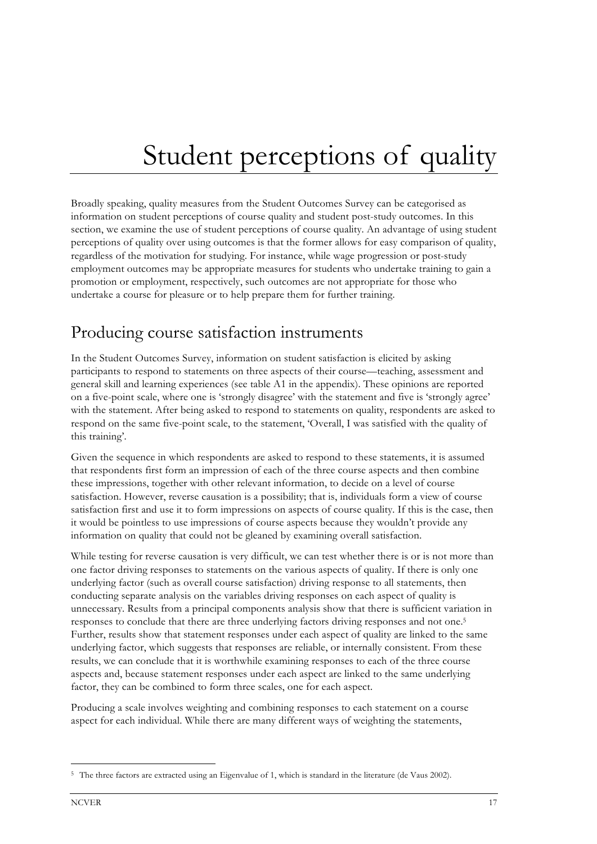# Student perceptions of quality

Broadly speaking, quality measures from the Student Outcomes Survey can be categorised as information on student perceptions of course quality and student post-study outcomes. In this section, we examine the use of student perceptions of course quality. An advantage of using student perceptions of quality over using outcomes is that the former allows for easy comparison of quality, regardless of the motivation for studying. For instance, while wage progression or post-study employment outcomes may be appropriate measures for students who undertake training to gain a promotion or employment, respectively, such outcomes are not appropriate for those who undertake a course for pleasure or to help prepare them for further training.

## Producing course satisfaction instruments

In the Student Outcomes Survey, information on student satisfaction is elicited by asking participants to respond to statements on three aspects of their course—teaching, assessment and general skill and learning experiences (see table A1 in the appendix). These opinions are reported on a five-point scale, where one is 'strongly disagree' with the statement and five is 'strongly agree' with the statement. After being asked to respond to statements on quality, respondents are asked to respond on the same five-point scale, to the statement, 'Overall, I was satisfied with the quality of this training'.

Given the sequence in which respondents are asked to respond to these statements, it is assumed that respondents first form an impression of each of the three course aspects and then combine these impressions, together with other relevant information, to decide on a level of course satisfaction. However, reverse causation is a possibility; that is, individuals form a view of course satisfaction first and use it to form impressions on aspects of course quality. If this is the case, then it would be pointless to use impressions of course aspects because they wouldn't provide any information on quality that could not be gleaned by examining overall satisfaction.

While testing for reverse causation is very difficult, we can test whether there is or is not more than one factor driving responses to statements on the various aspects of quality. If there is only one underlying factor (such as overall course satisfaction) driving response to all statements, then conducting separate analysis on the variables driving responses on each aspect of quality is unnecessary. Results from a principal components analysis show that there is sufficient variation in responses to conclude that there are three underlying factors driving responses and not one.5 Further, results show that statement responses under each aspect of quality are linked to the same underlying factor, which suggests that responses are reliable, or internally consistent. From these results, we can conclude that it is worthwhile examining responses to each of the three course aspects and, because statement responses under each aspect are linked to the same underlying factor, they can be combined to form three scales, one for each aspect.

Producing a scale involves weighting and combining responses to each statement on a course aspect for each individual. While there are many different ways of weighting the statements,

1

<sup>5</sup> The three factors are extracted using an Eigenvalue of 1, which is standard in the literature (de Vaus 2002).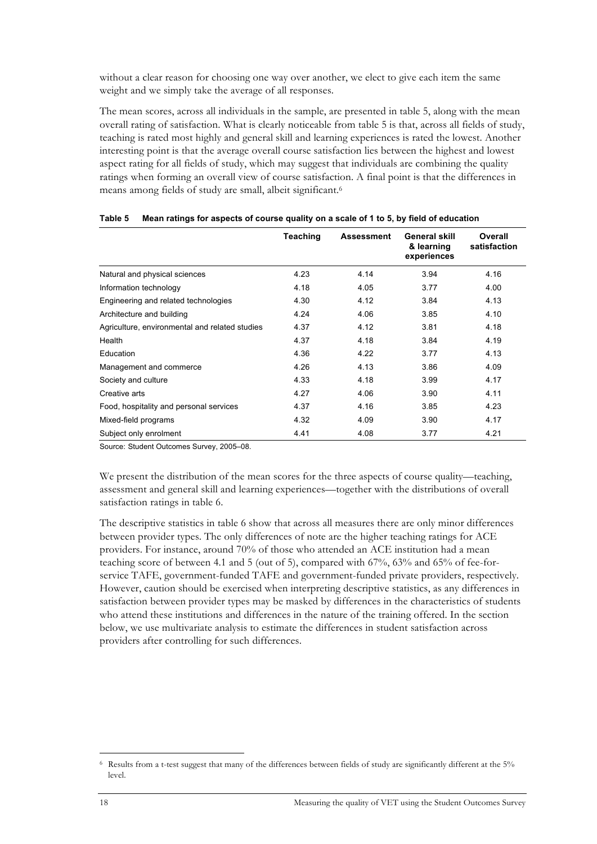without a clear reason for choosing one way over another, we elect to give each item the same weight and we simply take the average of all responses.

The mean scores, across all individuals in the sample, are presented in table 5, along with the mean overall rating of satisfaction. What is clearly noticeable from table 5 is that, across all fields of study, teaching is rated most highly and general skill and learning experiences is rated the lowest. Another interesting point is that the average overall course satisfaction lies between the highest and lowest aspect rating for all fields of study, which may suggest that individuals are combining the quality ratings when forming an overall view of course satisfaction. A final point is that the differences in means among fields of study are small, albeit significant.6

|                                                | <b>Teaching</b> | <b>Assessment</b> | General skill<br>& learning<br>experiences | Overall<br>satisfaction |
|------------------------------------------------|-----------------|-------------------|--------------------------------------------|-------------------------|
| Natural and physical sciences                  | 4.23            | 4.14              | 3.94                                       | 4.16                    |
| Information technology                         | 4.18            | 4.05              | 3.77                                       | 4.00                    |
| Engineering and related technologies           | 4.30            | 4.12              | 3.84                                       | 4.13                    |
| Architecture and building                      | 4.24            | 4.06              | 3.85                                       | 4.10                    |
| Agriculture, environmental and related studies | 4.37            | 4.12              | 3.81                                       | 4.18                    |
| Health                                         | 4.37            | 4.18              | 3.84                                       | 4.19                    |
| Education                                      | 4.36            | 4.22              | 3.77                                       | 4.13                    |
| Management and commerce                        | 4.26            | 4.13              | 3.86                                       | 4.09                    |
| Society and culture                            | 4.33            | 4.18              | 3.99                                       | 4.17                    |
| Creative arts                                  | 4.27            | 4.06              | 3.90                                       | 4.11                    |
| Food, hospitality and personal services        | 4.37            | 4.16              | 3.85                                       | 4.23                    |
| Mixed-field programs                           | 4.32            | 4.09              | 3.90                                       | 4.17                    |
| Subject only enrolment                         | 4.41            | 4.08              | 3.77                                       | 4.21                    |

|  |  | Table 5 Mean ratings for aspects of course quality on a scale of 1 to 5, by field of education |
|--|--|------------------------------------------------------------------------------------------------|
|  |  |                                                                                                |

Source: Student Outcomes Survey, 2005–08.

We present the distribution of the mean scores for the three aspects of course quality—teaching, assessment and general skill and learning experiences—together with the distributions of overall satisfaction ratings in table 6.

The descriptive statistics in table 6 show that across all measures there are only minor differences between provider types. The only differences of note are the higher teaching ratings for ACE providers. For instance, around 70% of those who attended an ACE institution had a mean teaching score of between 4.1 and 5 (out of 5), compared with 67%, 63% and 65% of fee-forservice TAFE, government-funded TAFE and government-funded private providers, respectively. However, caution should be exercised when interpreting descriptive statistics, as any differences in satisfaction between provider types may be masked by differences in the characteristics of students who attend these institutions and differences in the nature of the training offered. In the section below, we use multivariate analysis to estimate the differences in student satisfaction across providers after controlling for such differences.

**.** 

<sup>6</sup> Results from a t-test suggest that many of the differences between fields of study are significantly different at the 5% level.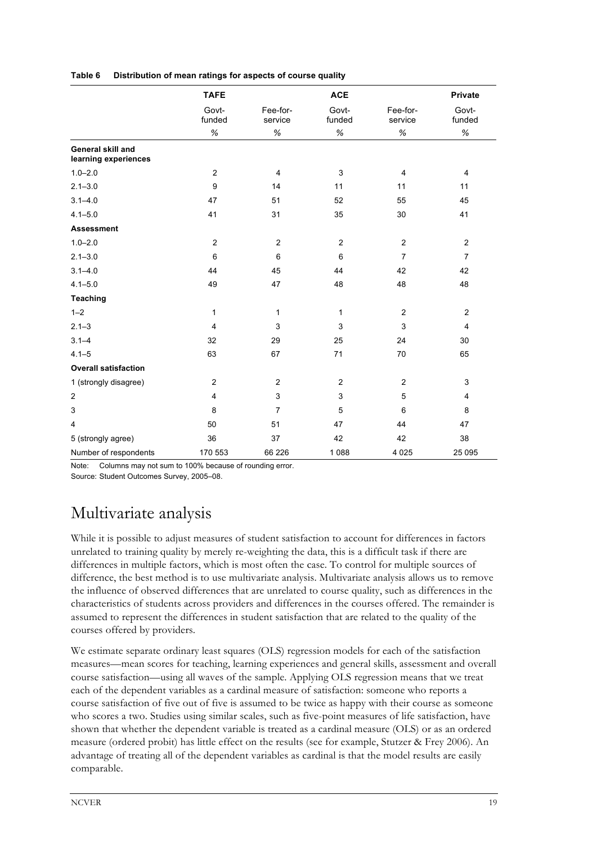|                                           | <b>TAFE</b>     |                     | <b>ACE</b>      |                     | <b>Private</b>  |
|-------------------------------------------|-----------------|---------------------|-----------------|---------------------|-----------------|
|                                           | Govt-<br>funded | Fee-for-<br>service | Govt-<br>funded | Fee-for-<br>service | Govt-<br>funded |
|                                           | $\%$            | $\%$                | $\%$            | $\%$                | $\%$            |
| General skill and<br>learning experiences |                 |                     |                 |                     |                 |
| $1.0 - 2.0$                               | $\overline{2}$  | $\overline{4}$      | $\mathbf{3}$    | 4                   | 4               |
| $2.1 - 3.0$                               | 9               | 14                  | 11              | 11                  | 11              |
| $3.1 - 4.0$                               | 47              | 51                  | 52              | 55                  | 45              |
| $4.1 - 5.0$                               | 41              | 31                  | 35              | 30                  | 41              |
| <b>Assessment</b>                         |                 |                     |                 |                     |                 |
| $1.0 - 2.0$                               | 2               | $\overline{2}$      | 2               | $\overline{2}$      | $\overline{2}$  |
| $2.1 - 3.0$                               | 6               | 6                   | 6               | $\overline{7}$      | $\overline{7}$  |
| $3.1 - 4.0$                               | 44              | 45                  | 44              | 42                  | 42              |
| $4.1 - 5.0$                               | 49              | 47                  | 48              | 48                  | 48              |
| <b>Teaching</b>                           |                 |                     |                 |                     |                 |
| $1 - 2$                                   | $\mathbf{1}$    | 1                   | 1               | $\overline{2}$      | $\overline{2}$  |
| $2.1 - 3$                                 | $\overline{4}$  | 3                   | 3               | 3                   | 4               |
| $3.1 - 4$                                 | 32              | 29                  | 25              | 24                  | 30              |
| $4.1 - 5$                                 | 63              | 67                  | 71              | 70                  | 65              |
| <b>Overall satisfaction</b>               |                 |                     |                 |                     |                 |
| 1 (strongly disagree)                     | $\overline{2}$  | $\overline{2}$      | $\overline{2}$  | $\overline{2}$      | 3               |
| $\overline{2}$                            | $\overline{4}$  | $\mathsf 3$         | 3               | 5                   | 4               |
| 3                                         | 8               | $\overline{7}$      | 5               | 6                   | 8               |
| 4                                         | 50              | 51                  | 47              | 44                  | 47              |
| 5 (strongly agree)                        | 36              | 37                  | 42              | 42                  | 38              |
| Number of respondents                     | 170 553         | 66 226              | 1 0 8 8         | 4 0 25              | 25 095          |

**Table 6 Distribution of mean ratings for aspects of course quality** 

Note: Columns may not sum to 100% because of rounding error.

Source: Student Outcomes Survey, 2005–08.

## Multivariate analysis

While it is possible to adjust measures of student satisfaction to account for differences in factors unrelated to training quality by merely re-weighting the data, this is a difficult task if there are differences in multiple factors, which is most often the case. To control for multiple sources of difference, the best method is to use multivariate analysis. Multivariate analysis allows us to remove the influence of observed differences that are unrelated to course quality, such as differences in the characteristics of students across providers and differences in the courses offered. The remainder is assumed to represent the differences in student satisfaction that are related to the quality of the courses offered by providers.

We estimate separate ordinary least squares (OLS) regression models for each of the satisfaction measures—mean scores for teaching, learning experiences and general skills, assessment and overall course satisfaction—using all waves of the sample. Applying OLS regression means that we treat each of the dependent variables as a cardinal measure of satisfaction: someone who reports a course satisfaction of five out of five is assumed to be twice as happy with their course as someone who scores a two. Studies using similar scales, such as five-point measures of life satisfaction, have shown that whether the dependent variable is treated as a cardinal measure (OLS) or as an ordered measure (ordered probit) has little effect on the results (see for example, Stutzer & Frey 2006). An advantage of treating all of the dependent variables as cardinal is that the model results are easily comparable.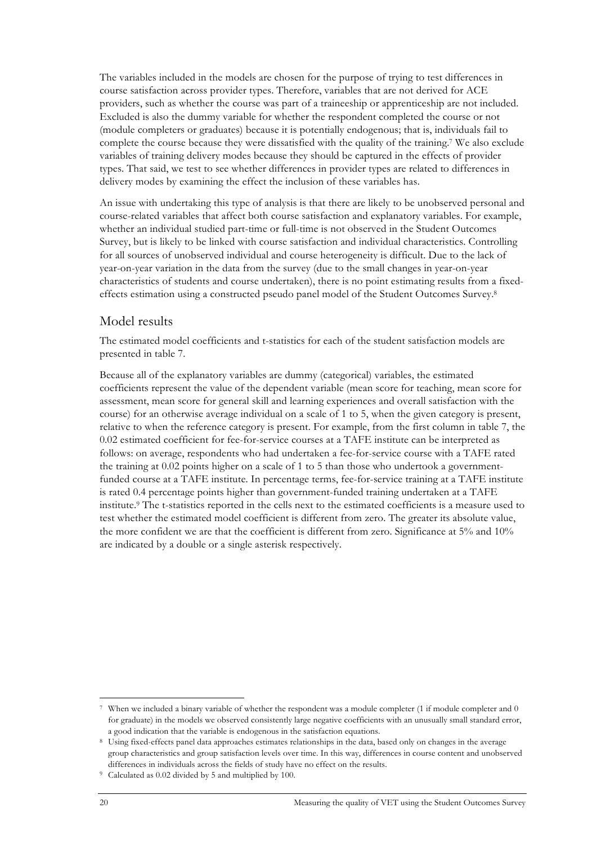The variables included in the models are chosen for the purpose of trying to test differences in course satisfaction across provider types. Therefore, variables that are not derived for ACE providers, such as whether the course was part of a traineeship or apprenticeship are not included. Excluded is also the dummy variable for whether the respondent completed the course or not (module completers or graduates) because it is potentially endogenous; that is, individuals fail to complete the course because they were dissatisfied with the quality of the training.7 We also exclude variables of training delivery modes because they should be captured in the effects of provider types. That said, we test to see whether differences in provider types are related to differences in delivery modes by examining the effect the inclusion of these variables has.

An issue with undertaking this type of analysis is that there are likely to be unobserved personal and course-related variables that affect both course satisfaction and explanatory variables. For example, whether an individual studied part-time or full-time is not observed in the Student Outcomes Survey, but is likely to be linked with course satisfaction and individual characteristics. Controlling for all sources of unobserved individual and course heterogeneity is difficult. Due to the lack of year-on-year variation in the data from the survey (due to the small changes in year-on-year characteristics of students and course undertaken), there is no point estimating results from a fixedeffects estimation using a constructed pseudo panel model of the Student Outcomes Survey.8

### Model results

The estimated model coefficients and t-statistics for each of the student satisfaction models are presented in table 7.

Because all of the explanatory variables are dummy (categorical) variables, the estimated coefficients represent the value of the dependent variable (mean score for teaching, mean score for assessment, mean score for general skill and learning experiences and overall satisfaction with the course) for an otherwise average individual on a scale of 1 to 5, when the given category is present, relative to when the reference category is present. For example, from the first column in table 7, the 0.02 estimated coefficient for fee-for-service courses at a TAFE institute can be interpreted as follows: on average, respondents who had undertaken a fee-for-service course with a TAFE rated the training at 0.02 points higher on a scale of 1 to 5 than those who undertook a governmentfunded course at a TAFE institute. In percentage terms, fee-for-service training at a TAFE institute is rated 0.4 percentage points higher than government-funded training undertaken at a TAFE institute.9 The t-statistics reported in the cells next to the estimated coefficients is a measure used to test whether the estimated model coefficient is different from zero. The greater its absolute value, the more confident we are that the coefficient is different from zero. Significance at 5% and 10% are indicated by a double or a single asterisk respectively.

<sup>-</sup>When we included a binary variable of whether the respondent was a module completer (1 if module completer and 0 for graduate) in the models we observed consistently large negative coefficients with an unusually small standard error, a good indication that the variable is endogenous in the satisfaction equations.

<sup>8</sup> Using fixed-effects panel data approaches estimates relationships in the data, based only on changes in the average group characteristics and group satisfaction levels over time. In this way, differences in course content and unobserved differences in individuals across the fields of study have no effect on the results.

<sup>9</sup> Calculated as 0.02 divided by 5 and multiplied by 100.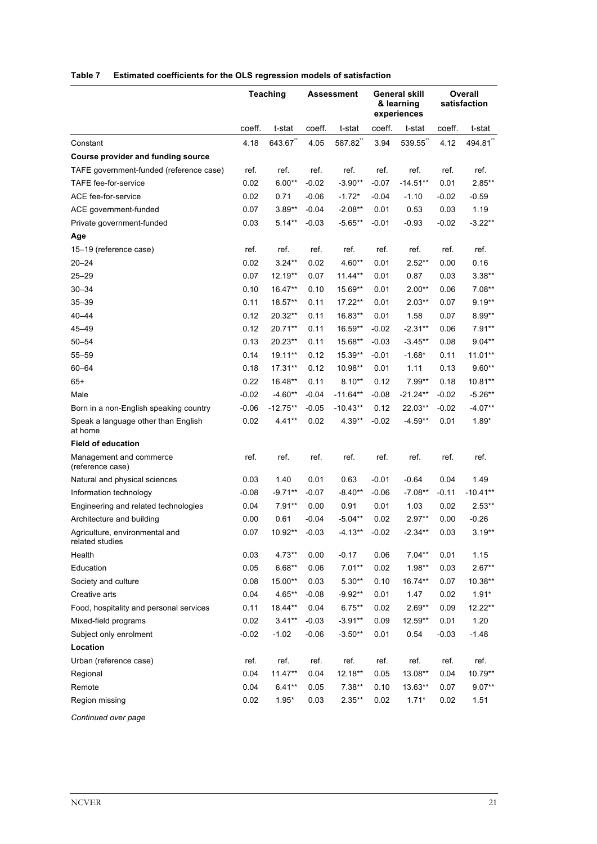|                                                   |         | <b>Teaching</b> |         | Assessment |         | <b>General skill</b><br>& learning<br>experiences |         | <b>Overall</b><br>satisfaction |  |
|---------------------------------------------------|---------|-----------------|---------|------------|---------|---------------------------------------------------|---------|--------------------------------|--|
|                                                   | coeff.  | t-stat          | coeff.  | t-stat     | coeff.  | t-stat                                            | coeff.  | t-stat                         |  |
| Constant                                          | 4.18    | 643.67          | 4.05    | 587.82     | 3.94    | 539.55                                            | 4.12    | 494.81"                        |  |
| <b>Course provider and funding source</b>         |         |                 |         |            |         |                                                   |         |                                |  |
| TAFE government-funded (reference case)           | ref.    | ref.            | ref.    | ref.       | ref.    | ref.                                              | ref.    | ref.                           |  |
| TAFE fee-for-service                              | 0.02    | $6.00**$        | $-0.02$ | $-3.90**$  | $-0.07$ | $-14.51**$                                        | 0.01    | $2.85***$                      |  |
| ACE fee-for-service                               | 0.02    | 0.71            | $-0.06$ | $-1.72*$   | $-0.04$ | $-1.10$                                           | $-0.02$ | $-0.59$                        |  |
| ACE government-funded                             | 0.07    | $3.89**$        | $-0.04$ | $-2.08**$  | 0.01    | 0.53                                              | 0.03    | 1.19                           |  |
| Private government-funded                         | 0.03    | $5.14**$        | $-0.03$ | $-5.65**$  | $-0.01$ | $-0.93$                                           | $-0.02$ | $-3.22**$                      |  |
| Age                                               |         |                 |         |            |         |                                                   |         |                                |  |
| 15-19 (reference case)                            | ref.    | ref.            | ref.    | ref.       | ref.    | ref.                                              | ref.    | ref.                           |  |
| $20 - 24$                                         | 0.02    | $3.24**$        | 0.02    | 4.60**     | 0.01    | $2.52**$                                          | 0.00    | 0.16                           |  |
| $25 - 29$                                         | 0.07    | $12.19**$       | 0.07    | $11.44**$  | 0.01    | 0.87                                              | 0.03    | $3.38**$                       |  |
| $30 - 34$                                         | 0.10    | $16.47**$       | 0.10    | 15.69**    | 0.01    | $2.00**$                                          | 0.06    | $7.08**$                       |  |
| $35 - 39$                                         | 0.11    | 18.57**         | 0.11    | 17.22**    | 0.01    | $2.03**$                                          | 0.07    | $9.19**$                       |  |
| $40 - 44$                                         | 0.12    | 20.32**         | 0.11    | 16.83**    | 0.01    | 1.58                                              | 0.07    | 8.99**                         |  |
| 45-49                                             | 0.12    | 20.71**         | 0.11    | 16.59**    | $-0.02$ | $-2.31**$                                         | 0.06    | $7.91**$                       |  |
| $50 - 54$                                         | 0.13    | 20.23**         | 0.11    | 15.68**    | $-0.03$ | $-3.45**$                                         | 0.08    | $9.04**$                       |  |
| $55 - 59$                                         | 0.14    | 19.11**         | 0.12    | 15.39**    | $-0.01$ | $-1.68*$                                          | 0.11    | $11.01**$                      |  |
| $60 - 64$                                         | 0.18    | 17.31**         | 0.12    | 10.98**    | 0.01    | 1.11                                              | 0.13    | $9.60**$                       |  |
| $65+$                                             | 0.22    | 16.48**         | 0.11    | $8.10**$   | 0.12    | 7.99**                                            | 0.18    | 10.81**                        |  |
| Male                                              | $-0.02$ | $-4.60**$       | $-0.04$ | $-11.64**$ | $-0.08$ | $-21.24**$                                        | $-0.02$ | $-5.26**$                      |  |
| Born in a non-English speaking country            | $-0.06$ | $-12.75**$      | $-0.05$ | $-10.43**$ | 0.12    | 22.03**                                           | $-0.02$ | $-4.07**$                      |  |
| Speak a language other than English<br>at home    | 0.02    | $4.41**$        | 0.02    | 4.39**     | $-0.02$ | $-4.59**$                                         | 0.01    | $1.89*$                        |  |
| <b>Field of education</b>                         |         |                 |         |            |         |                                                   |         |                                |  |
| Management and commerce<br>(reference case)       | ref.    | ref.            | ref.    | ref.       | ref.    | ref.                                              | ref.    | ref.                           |  |
| Natural and physical sciences                     | 0.03    | 1.40            | 0.01    | 0.63       | $-0.01$ | $-0.64$                                           | 0.04    | 1.49                           |  |
| Information technology                            | $-0.08$ | $-9.71**$       | $-0.07$ | $-8.40**$  | $-0.06$ | $-7.08**$                                         | $-0.11$ | $-10.41**$                     |  |
| Engineering and related technologies              | 0.04    | $7.91**$        | 0.00    | 0.91       | 0.01    | 1.03                                              | 0.02    | $2.53**$                       |  |
| Architecture and building                         | 0.00    | 0.61            | $-0.04$ | $-5.04**$  | 0.02    | $2.97**$                                          | 0.00    | $-0.26$                        |  |
| Agriculture, environmental and<br>related studies | 0.07    | 10.92**         | $-0.03$ | $-4.13**$  | $-0.02$ | $-2.34**$                                         | 0.03    | $3.19**$                       |  |
| Health                                            | 0.03    | 4.73**          | 0.00    | $-0.17$    | 0.06    | $7.04**$                                          | 0.01    | 1.15                           |  |
| Education                                         | 0.05    | $6.68**$        | 0.06    | $7.01**$   | 0.02    | $1.98**$                                          | 0.03    | $2.67**$                       |  |
| Society and culture                               | 0.08    | 15.00**         | 0.03    | $5.30**$   | 0.10    | 16.74**                                           | 0.07    | 10.38**                        |  |
| Creative arts                                     | 0.04    | 4.65**          | $-0.08$ | $-9.92**$  | 0.01    | 1.47                                              | 0.02    | $1.91*$                        |  |
| Food, hospitality and personal services           | 0.11    | 18.44**         | 0.04    | $6.75***$  | 0.02    | $2.69**$                                          | 0.09    | 12.22**                        |  |
| Mixed-field programs                              | 0.02    | $3.41***$       | $-0.03$ | $-3.91**$  | 0.09    | 12.59**                                           | 0.01    | 1.20                           |  |
| Subject only enrolment                            | $-0.02$ | $-1.02$         | $-0.06$ | $-3.50**$  | 0.01    | 0.54                                              | $-0.03$ | $-1.48$                        |  |
| Location                                          |         |                 |         |            |         |                                                   |         |                                |  |
| Urban (reference case)                            | ref.    | ref.            | ref.    | ref.       | ref.    | ref.                                              | ref.    | ref.                           |  |
| Regional                                          | 0.04    | 11.47**         | 0.04    | 12.18**    | 0.05    | 13.08**                                           | 0.04    | 10.79**                        |  |
| Remote                                            | 0.04    | $6.41**$        | 0.05    | $7.38**$   | 0.10    | 13.63**                                           | 0.07    | $9.07**$                       |  |
| Region missing                                    | 0.02    | $1.95*$         | 0.03    | $2.35***$  | 0.02    | $1.71*$                                           | 0.02    | 1.51                           |  |

#### **Table 7 Estimated coefficients for the OLS regression models of satisfaction**

*Continued over page*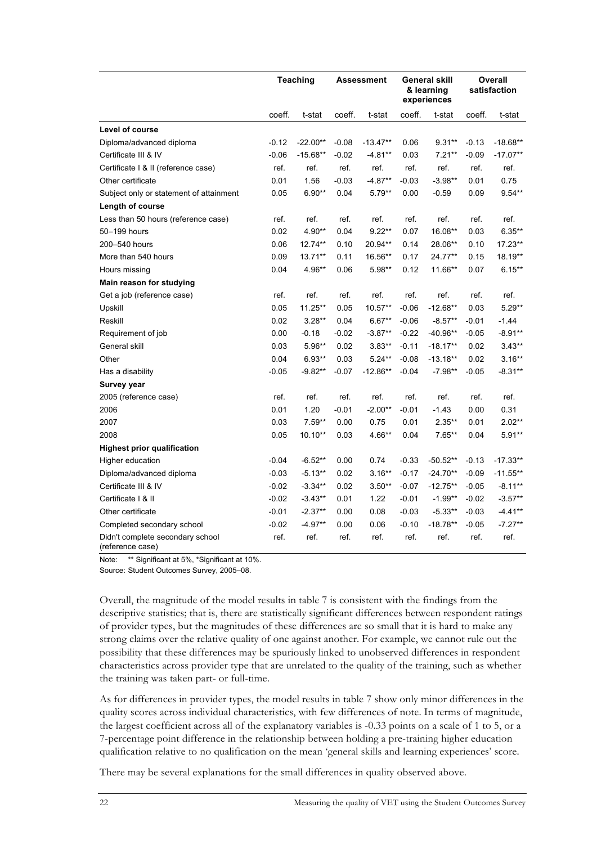|                                                      | Teaching |            |         | Assessment | General skill<br>& learning<br>experiences |            | Overall<br>satisfaction |            |
|------------------------------------------------------|----------|------------|---------|------------|--------------------------------------------|------------|-------------------------|------------|
|                                                      | coeff.   | t-stat     | coeff.  | t-stat     | coeff.                                     | t-stat     | coeff.                  | t-stat     |
| Level of course                                      |          |            |         |            |                                            |            |                         |            |
| Diploma/advanced diploma                             | $-0.12$  | $-22.00**$ | $-0.08$ | $-13.47**$ | 0.06                                       | $9.31**$   | $-0.13$                 | $-18.68**$ |
| Certificate III & IV                                 | $-0.06$  | $-15.68**$ | $-0.02$ | $-4.81**$  | 0.03                                       | $7.21**$   | $-0.09$                 | $-17.07**$ |
| Certificate   & II (reference case)                  | ref.     | ref.       | ref.    | ref.       | ref.                                       | ref.       | ref.                    | ref.       |
| Other certificate                                    | 0.01     | 1.56       | $-0.03$ | $-4.87**$  | $-0.03$                                    | $-3.98**$  | 0.01                    | 0.75       |
| Subject only or statement of attainment              | 0.05     | $6.90**$   | 0.04    | $5.79**$   | 0.00                                       | $-0.59$    | 0.09                    | $9.54**$   |
| Length of course                                     |          |            |         |            |                                            |            |                         |            |
| Less than 50 hours (reference case)                  | ref.     | ref.       | ref.    | ref.       | ref.                                       | ref.       | ref.                    | ref.       |
| 50-199 hours                                         | 0.02     | 4.90**     | 0.04    | $9.22**$   | 0.07                                       | 16.08**    | 0.03                    | $6.35***$  |
| 200-540 hours                                        | 0.06     | 12.74**    | 0.10    | 20.94**    | 0.14                                       | 28.06**    | 0.10                    | 17.23**    |
| More than 540 hours                                  | 0.09     | 13.71**    | 0.11    | 16.56**    | 0.17                                       | 24.77**    | 0.15                    | 18.19**    |
| Hours missing                                        | 0.04     | 4.96**     | 0.06    | 5.98**     | 0.12                                       | 11.66**    | 0.07                    | $6.15***$  |
| Main reason for studying                             |          |            |         |            |                                            |            |                         |            |
| Get a job (reference case)                           | ref.     | ref.       | ref.    | ref.       | ref.                                       | ref.       | ref.                    | ref.       |
| Upskill                                              | 0.05     | 11.25**    | 0.05    | 10.57**    | $-0.06$                                    | $-12.68**$ | 0.03                    | $5.29**$   |
| Reskill                                              | 0.02     | $3.28**$   | 0.04    | $6.67**$   | $-0.06$                                    | $-8.57**$  | $-0.01$                 | $-1.44$    |
| Requirement of job                                   | 0.00     | $-0.18$    | $-0.02$ | $-3.87**$  | $-0.22$                                    | $-40.96**$ | $-0.05$                 | $-8.91**$  |
| General skill                                        | 0.03     | 5.96**     | 0.02    | $3.83**$   | $-0.11$                                    | $-18.17**$ | 0.02                    | $3.43**$   |
| Other                                                | 0.04     | $6.93**$   | 0.03    | $5.24**$   | $-0.08$                                    | $-13.18**$ | 0.02                    | $3.16**$   |
| Has a disability                                     | $-0.05$  | $-9.82**$  | $-0.07$ | $-12.86**$ | $-0.04$                                    | $-7.98**$  | $-0.05$                 | $-8.31**$  |
| Survey year                                          |          |            |         |            |                                            |            |                         |            |
| 2005 (reference case)                                | ref.     | ref.       | ref.    | ref.       | ref.                                       | ref.       | ref.                    | ref.       |
| 2006                                                 | 0.01     | 1.20       | $-0.01$ | $-2.00**$  | $-0.01$                                    | $-1.43$    | 0.00                    | 0.31       |
| 2007                                                 | 0.03     | $7.59**$   | 0.00    | 0.75       | 0.01                                       | $2.35***$  | 0.01                    | $2.02**$   |
| 2008                                                 | 0.05     | $10.10**$  | 0.03    | 4.66**     | 0.04                                       | $7.65**$   | 0.04                    | $5.91**$   |
| <b>Highest prior qualification</b>                   |          |            |         |            |                                            |            |                         |            |
| Higher education                                     | $-0.04$  | $-6.52**$  | 0.00    | 0.74       | $-0.33$                                    | $-50.52**$ | $-0.13$                 | $-17.33**$ |
| Diploma/advanced diploma                             | $-0.03$  | $-5.13**$  | 0.02    | $3.16**$   | $-0.17$                                    | $-24.70**$ | $-0.09$                 | $-11.55**$ |
| Certificate III & IV                                 | $-0.02$  | $-3.34**$  | 0.02    | $3.50**$   | $-0.07$                                    | $-12.75**$ | $-0.05$                 | $-8.11**$  |
| Certificate   & II                                   | $-0.02$  | $-3.43**$  | 0.01    | 1.22       | $-0.01$                                    | $-1.99**$  | $-0.02$                 | $-3.57**$  |
| Other certificate                                    | $-0.01$  | $-2.37**$  | 0.00    | 0.08       | $-0.03$                                    | $-5.33**$  | $-0.03$                 | $-4.41**$  |
| Completed secondary school                           | $-0.02$  | $-4.97**$  | 0.00    | 0.06       | $-0.10$                                    | $-18.78**$ | $-0.05$                 | $-7.27**$  |
| Didn't complete secondary school<br>(reference case) | ref.     | ref.       | ref.    | ref.       | ref.                                       | ref.       | ref.                    | ref.       |

Note: \*\* Significant at 5%, \*Significant at 10%.

Source: Student Outcomes Survey, 2005–08.

Overall, the magnitude of the model results in table 7 is consistent with the findings from the descriptive statistics; that is, there are statistically significant differences between respondent ratings of provider types, but the magnitudes of these differences are so small that it is hard to make any strong claims over the relative quality of one against another. For example, we cannot rule out the possibility that these differences may be spuriously linked to unobserved differences in respondent characteristics across provider type that are unrelated to the quality of the training, such as whether the training was taken part- or full-time.

As for differences in provider types, the model results in table 7 show only minor differences in the quality scores across individual characteristics, with few differences of note. In terms of magnitude, the largest coefficient across all of the explanatory variables is -0.33 points on a scale of 1 to 5, or a 7-percentage point difference in the relationship between holding a pre-training higher education qualification relative to no qualification on the mean 'general skills and learning experiences' score.

There may be several explanations for the small differences in quality observed above.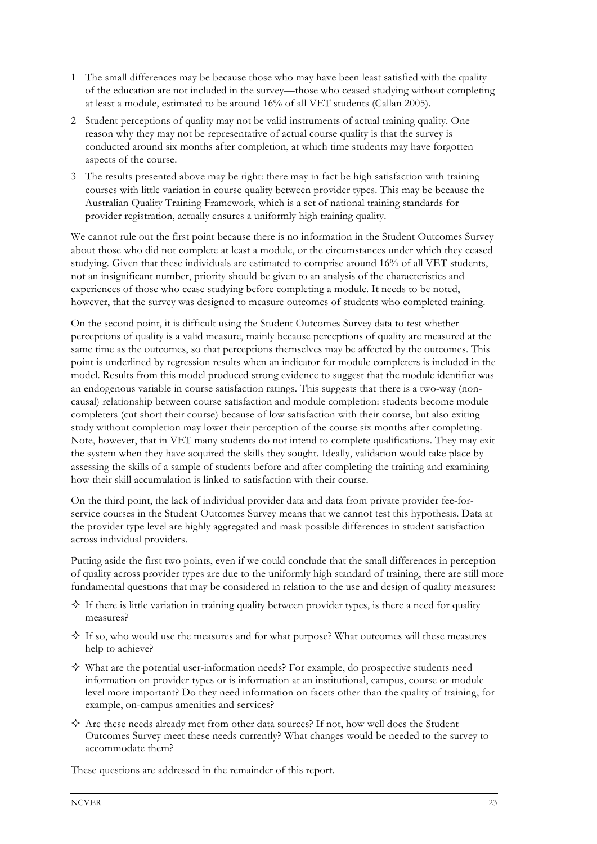- 1 The small differences may be because those who may have been least satisfied with the quality of the education are not included in the survey—those who ceased studying without completing at least a module, estimated to be around 16% of all VET students (Callan 2005).
- 2 Student perceptions of quality may not be valid instruments of actual training quality. One reason why they may not be representative of actual course quality is that the survey is conducted around six months after completion, at which time students may have forgotten aspects of the course.
- 3 The results presented above may be right: there may in fact be high satisfaction with training courses with little variation in course quality between provider types. This may be because the Australian Quality Training Framework, which is a set of national training standards for provider registration, actually ensures a uniformly high training quality.

We cannot rule out the first point because there is no information in the Student Outcomes Survey about those who did not complete at least a module, or the circumstances under which they ceased studying. Given that these individuals are estimated to comprise around 16% of all VET students, not an insignificant number, priority should be given to an analysis of the characteristics and experiences of those who cease studying before completing a module. It needs to be noted, however, that the survey was designed to measure outcomes of students who completed training.

On the second point, it is difficult using the Student Outcomes Survey data to test whether perceptions of quality is a valid measure, mainly because perceptions of quality are measured at the same time as the outcomes, so that perceptions themselves may be affected by the outcomes. This point is underlined by regression results when an indicator for module completers is included in the model. Results from this model produced strong evidence to suggest that the module identifier was an endogenous variable in course satisfaction ratings. This suggests that there is a two-way (noncausal) relationship between course satisfaction and module completion: students become module completers (cut short their course) because of low satisfaction with their course, but also exiting study without completion may lower their perception of the course six months after completing. Note, however, that in VET many students do not intend to complete qualifications. They may exit the system when they have acquired the skills they sought. Ideally, validation would take place by assessing the skills of a sample of students before and after completing the training and examining how their skill accumulation is linked to satisfaction with their course.

On the third point, the lack of individual provider data and data from private provider fee-forservice courses in the Student Outcomes Survey means that we cannot test this hypothesis. Data at the provider type level are highly aggregated and mask possible differences in student satisfaction across individual providers.

Putting aside the first two points, even if we could conclude that the small differences in perception of quality across provider types are due to the uniformly high standard of training, there are still more fundamental questions that may be considered in relation to the use and design of quality measures:

- $\Diamond$  If there is little variation in training quality between provider types, is there a need for quality measures?
- $\Diamond$  If so, who would use the measures and for what purpose? What outcomes will these measures help to achieve?
- $\diamond$  What are the potential user-information needs? For example, do prospective students need information on provider types or is information at an institutional, campus, course or module level more important? Do they need information on facets other than the quality of training, for example, on-campus amenities and services?
- $\Diamond$  Are these needs already met from other data sources? If not, how well does the Student Outcomes Survey meet these needs currently? What changes would be needed to the survey to accommodate them?

These questions are addressed in the remainder of this report.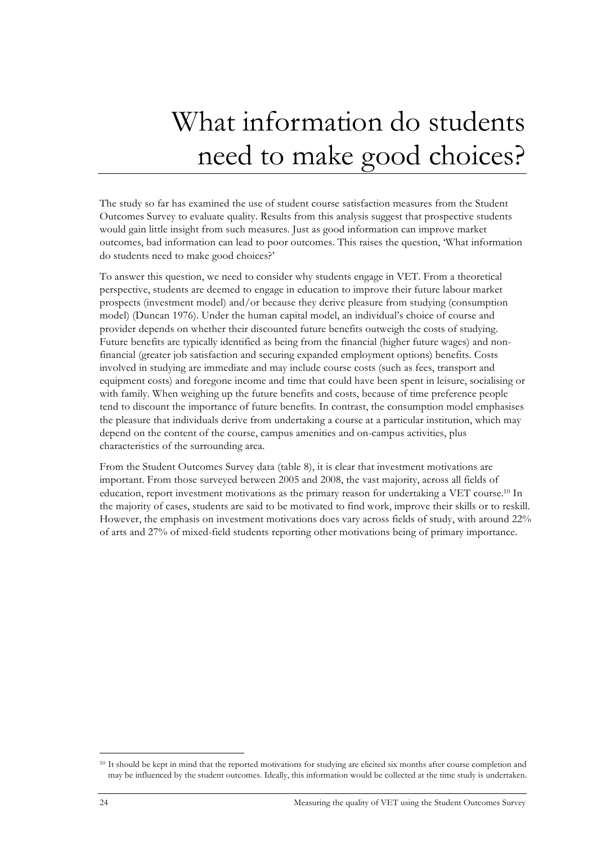# What information do students need to make good choices?

The study so far has examined the use of student course satisfaction measures from the Student Outcomes Survey to evaluate quality. Results from this analysis suggest that prospective students would gain little insight from such measures. Just as good information can improve market outcomes, bad information can lead to poor outcomes. This raises the question, 'What information do students need to make good choices?'

To answer this question, we need to consider why students engage in VET. From a theoretical perspective, students are deemed to engage in education to improve their future labour market prospects (investment model) and/or because they derive pleasure from studying (consumption model) (Duncan 1976). Under the human capital model, an individual's choice of course and provider depends on whether their discounted future benefits outweigh the costs of studying. Future benefits are typically identified as being from the financial (higher future wages) and nonfinancial (greater job satisfaction and securing expanded employment options) benefits. Costs involved in studying are immediate and may include course costs (such as fees, transport and equipment costs) and foregone income and time that could have been spent in leisure, socialising or with family. When weighing up the future benefits and costs, because of time preference people tend to discount the importance of future benefits. In contrast, the consumption model emphasises the pleasure that individuals derive from undertaking a course at a particular institution, which may depend on the content of the course, campus amenities and on-campus activities, plus characteristics of the surrounding area.

From the Student Outcomes Survey data (table 8), it is clear that investment motivations are important. From those surveyed between 2005 and 2008, the vast majority, across all fields of education, report investment motivations as the primary reason for undertaking a VET course.10 In the majority of cases, students are said to be motivated to find work, improve their skills or to reskill. However, the emphasis on investment motivations does vary across fields of study, with around 22% of arts and 27% of mixed-field students reporting other motivations being of primary importance.

**.** 

<sup>10</sup> It should be kept in mind that the reported motivations for studying are elicited six months after course completion and may be influenced by the student outcomes. Ideally, this information would be collected at the time study is undertaken.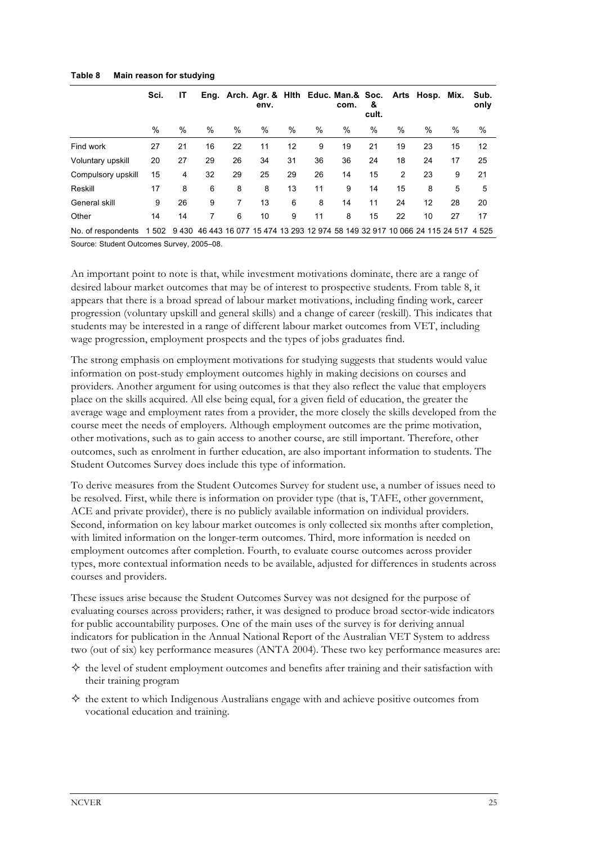|                    | Sci.  | ΙT |    |    | env. |    |      | Eng. Arch. Agr. & Hith Educ. Man.& Soc.<br>com.                                   | &<br>cult. |      | Arts Hosp. Mix. |    | Sub.<br>only |
|--------------------|-------|----|----|----|------|----|------|-----------------------------------------------------------------------------------|------------|------|-----------------|----|--------------|
|                    | %     | %  | %  | %  | %    | %  | $\%$ | %                                                                                 | %          | $\%$ | $\frac{0}{0}$   | %  | $\%$         |
| Find work          | 27    | 21 | 16 | 22 | 11   | 12 | 9    | 19                                                                                | 21         | 19   | 23              | 15 | 12           |
| Voluntary upskill  | 20    | 27 | 29 | 26 | 34   | 31 | 36   | 36                                                                                | 24         | 18   | 24              | 17 | 25           |
| Compulsory upskill | 15    | 4  | 32 | 29 | 25   | 29 | 26   | 14                                                                                | 15         | 2    | 23              | 9  | 21           |
| Reskill            | 17    | 8  | 6  | 8  | 8    | 13 | 11   | 9                                                                                 | 14         | 15   | 8               | 5  | 5            |
| General skill      | 9     | 26 | 9  | 7  | 13   | 6  | 8    | 14                                                                                | 11         | 24   | 12              | 28 | 20           |
| Other              | 14    | 14 | 7  | 6  | 10   | 9  | 11   | 8                                                                                 | 15         | 22   | 10              | 27 | 17           |
| No. of respondents | 1 502 |    |    |    |      |    |      | 9 430 46 443 16 077 15 474 13 293 12 974 58 149 32 917 10 066 24 115 24 517 4 525 |            |      |                 |    |              |

#### **Table 8 Main reason for studying**

Source: Student Outcomes Survey, 2005–08.

An important point to note is that, while investment motivations dominate, there are a range of desired labour market outcomes that may be of interest to prospective students. From table 8, it appears that there is a broad spread of labour market motivations, including finding work, career progression (voluntary upskill and general skills) and a change of career (reskill). This indicates that students may be interested in a range of different labour market outcomes from VET, including wage progression, employment prospects and the types of jobs graduates find.

The strong emphasis on employment motivations for studying suggests that students would value information on post-study employment outcomes highly in making decisions on courses and providers. Another argument for using outcomes is that they also reflect the value that employers place on the skills acquired. All else being equal, for a given field of education, the greater the average wage and employment rates from a provider, the more closely the skills developed from the course meet the needs of employers. Although employment outcomes are the prime motivation, other motivations, such as to gain access to another course, are still important. Therefore, other outcomes, such as enrolment in further education, are also important information to students. The Student Outcomes Survey does include this type of information.

To derive measures from the Student Outcomes Survey for student use, a number of issues need to be resolved. First, while there is information on provider type (that is, TAFE, other government, ACE and private provider), there is no publicly available information on individual providers. Second, information on key labour market outcomes is only collected six months after completion, with limited information on the longer-term outcomes. Third, more information is needed on employment outcomes after completion. Fourth, to evaluate course outcomes across provider types, more contextual information needs to be available, adjusted for differences in students across courses and providers.

These issues arise because the Student Outcomes Survey was not designed for the purpose of evaluating courses across providers; rather, it was designed to produce broad sector-wide indicators for public accountability purposes. One of the main uses of the survey is for deriving annual indicators for publication in the Annual National Report of the Australian VET System to address two (out of six) key performance measures (ANTA 2004). These two key performance measures are:

- $\Diamond$  the level of student employment outcomes and benefits after training and their satisfaction with their training program
- $\Diamond$  the extent to which Indigenous Australians engage with and achieve positive outcomes from vocational education and training.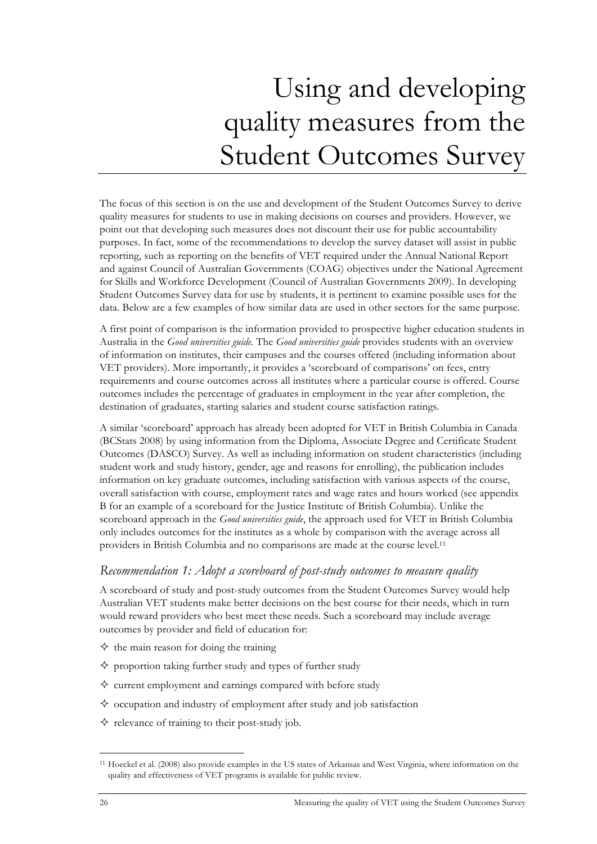# Using and developing quality measures from the Student Outcomes Survey

The focus of this section is on the use and development of the Student Outcomes Survey to derive quality measures for students to use in making decisions on courses and providers. However, we point out that developing such measures does not discount their use for public accountability purposes. In fact, some of the recommendations to develop the survey dataset will assist in public reporting, such as reporting on the benefits of VET required under the Annual National Report and against Council of Australian Governments (COAG) objectives under the National Agreement for Skills and Workforce Development (Council of Australian Governments 2009). In developing Student Outcomes Survey data for use by students, it is pertinent to examine possible uses for the data. Below are a few examples of how similar data are used in other sectors for the same purpose.

A first point of comparison is the information provided to prospective higher education students in Australia in the *Good universities guide.* The *Good universities guide* provides students with an overview of information on institutes, their campuses and the courses offered (including information about VET providers). More importantly, it provides a 'scoreboard of comparisons' on fees, entry requirements and course outcomes across all institutes where a particular course is offered. Course outcomes includes the percentage of graduates in employment in the year after completion, the destination of graduates, starting salaries and student course satisfaction ratings.

A similar 'scoreboard' approach has already been adopted for VET in British Columbia in Canada (BCStats 2008) by using information from the Diploma, Associate Degree and Certificate Student Outcomes (DASCO) Survey. As well as including information on student characteristics (including student work and study history, gender, age and reasons for enrolling), the publication includes information on key graduate outcomes, including satisfaction with various aspects of the course, overall satisfaction with course, employment rates and wage rates and hours worked (see appendix B for an example of a scoreboard for the Justice Institute of British Columbia). Unlike the scoreboard approach in the *Good universities guide*, the approach used for VET in British Columbia only includes outcomes for the institutes as a whole by comparison with the average across all providers in British Columbia and no comparisons are made at the course level.11

### *Recommendation 1: Adopt a scoreboard of post-study outcomes to measure quality*

A scoreboard of study and post-study outcomes from the Student Outcomes Survey would help Australian VET students make better decisions on the best course for their needs, which in turn would reward providers who best meet these needs. Such a scoreboard may include average outcomes by provider and field of education for:

- $\diamond$  the main reason for doing the training
- $\diamond$  proportion taking further study and types of further study
- $\diamond$  current employment and earnings compared with before study
- $\diamond$  occupation and industry of employment after study and job satisfaction
- $\Diamond$  relevance of training to their post-study job.

**.** 

<sup>11</sup> Hoeckel et al. (2008) also provide examples in the US states of Arkansas and West Virginia, where information on the quality and effectiveness of VET programs is available for public review.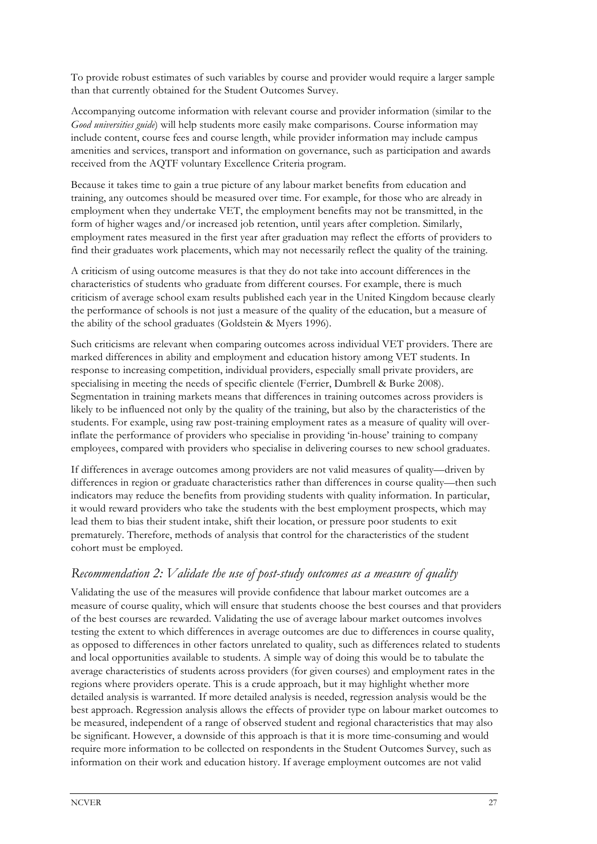To provide robust estimates of such variables by course and provider would require a larger sample than that currently obtained for the Student Outcomes Survey.

Accompanying outcome information with relevant course and provider information (similar to the *Good universities guide*) will help students more easily make comparisons. Course information may include content, course fees and course length, while provider information may include campus amenities and services, transport and information on governance, such as participation and awards received from the AQTF voluntary Excellence Criteria program.

Because it takes time to gain a true picture of any labour market benefits from education and training, any outcomes should be measured over time. For example, for those who are already in employment when they undertake VET, the employment benefits may not be transmitted, in the form of higher wages and/or increased job retention, until years after completion. Similarly, employment rates measured in the first year after graduation may reflect the efforts of providers to find their graduates work placements, which may not necessarily reflect the quality of the training.

A criticism of using outcome measures is that they do not take into account differences in the characteristics of students who graduate from different courses. For example, there is much criticism of average school exam results published each year in the United Kingdom because clearly the performance of schools is not just a measure of the quality of the education, but a measure of the ability of the school graduates (Goldstein & Myers 1996).

Such criticisms are relevant when comparing outcomes across individual VET providers. There are marked differences in ability and employment and education history among VET students. In response to increasing competition, individual providers, especially small private providers, are specialising in meeting the needs of specific clientele (Ferrier, Dumbrell & Burke 2008). Segmentation in training markets means that differences in training outcomes across providers is likely to be influenced not only by the quality of the training, but also by the characteristics of the students. For example, using raw post-training employment rates as a measure of quality will overinflate the performance of providers who specialise in providing 'in-house' training to company employees, compared with providers who specialise in delivering courses to new school graduates.

If differences in average outcomes among providers are not valid measures of quality—driven by differences in region or graduate characteristics rather than differences in course quality—then such indicators may reduce the benefits from providing students with quality information. In particular, it would reward providers who take the students with the best employment prospects, which may lead them to bias their student intake, shift their location, or pressure poor students to exit prematurely. Therefore, methods of analysis that control for the characteristics of the student cohort must be employed.

### *Recommendation 2: Validate the use of post-study outcomes as a measure of quality*

Validating the use of the measures will provide confidence that labour market outcomes are a measure of course quality, which will ensure that students choose the best courses and that providers of the best courses are rewarded. Validating the use of average labour market outcomes involves testing the extent to which differences in average outcomes are due to differences in course quality, as opposed to differences in other factors unrelated to quality, such as differences related to students and local opportunities available to students. A simple way of doing this would be to tabulate the average characteristics of students across providers (for given courses) and employment rates in the regions where providers operate. This is a crude approach, but it may highlight whether more detailed analysis is warranted. If more detailed analysis is needed, regression analysis would be the best approach. Regression analysis allows the effects of provider type on labour market outcomes to be measured, independent of a range of observed student and regional characteristics that may also be significant. However, a downside of this approach is that it is more time-consuming and would require more information to be collected on respondents in the Student Outcomes Survey, such as information on their work and education history. If average employment outcomes are not valid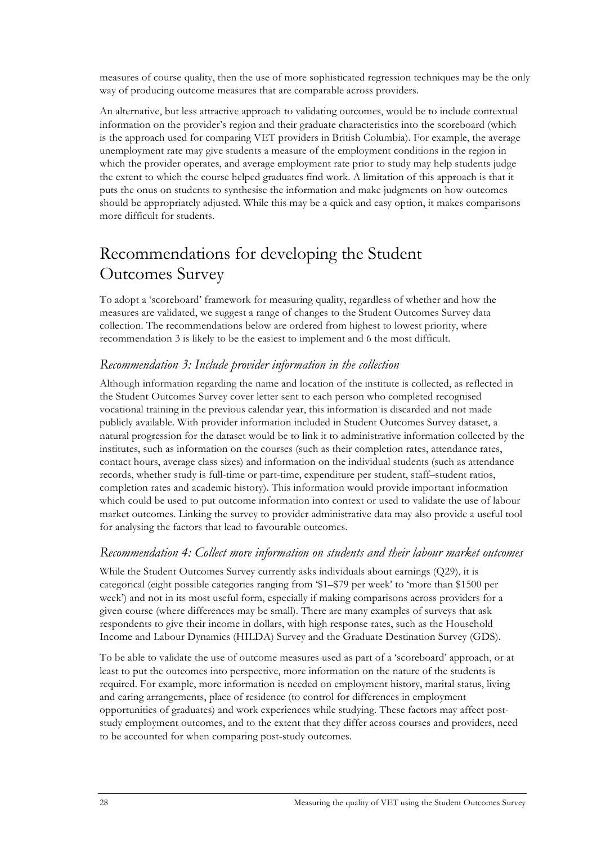measures of course quality, then the use of more sophisticated regression techniques may be the only way of producing outcome measures that are comparable across providers.

An alternative, but less attractive approach to validating outcomes, would be to include contextual information on the provider's region and their graduate characteristics into the scoreboard (which is the approach used for comparing VET providers in British Columbia). For example, the average unemployment rate may give students a measure of the employment conditions in the region in which the provider operates, and average employment rate prior to study may help students judge the extent to which the course helped graduates find work. A limitation of this approach is that it puts the onus on students to synthesise the information and make judgments on how outcomes should be appropriately adjusted. While this may be a quick and easy option, it makes comparisons more difficult for students.

## Recommendations for developing the Student Outcomes Survey

To adopt a 'scoreboard' framework for measuring quality, regardless of whether and how the measures are validated, we suggest a range of changes to the Student Outcomes Survey data collection. The recommendations below are ordered from highest to lowest priority, where recommendation 3 is likely to be the easiest to implement and 6 the most difficult.

### *Recommendation 3: Include provider information in the collection*

Although information regarding the name and location of the institute is collected, as reflected in the Student Outcomes Survey cover letter sent to each person who completed recognised vocational training in the previous calendar year, this information is discarded and not made publicly available. With provider information included in Student Outcomes Survey dataset, a natural progression for the dataset would be to link it to administrative information collected by the institutes, such as information on the courses (such as their completion rates, attendance rates, contact hours, average class sizes) and information on the individual students (such as attendance records, whether study is full-time or part-time, expenditure per student, staff–student ratios, completion rates and academic history). This information would provide important information which could be used to put outcome information into context or used to validate the use of labour market outcomes. Linking the survey to provider administrative data may also provide a useful tool for analysing the factors that lead to favourable outcomes.

### *Recommendation 4: Collect more information on students and their labour market outcomes*

While the Student Outcomes Survey currently asks individuals about earnings (Q29), it is categorical (eight possible categories ranging from '\$1–\$79 per week' to 'more than \$1500 per week') and not in its most useful form, especially if making comparisons across providers for a given course (where differences may be small). There are many examples of surveys that ask respondents to give their income in dollars, with high response rates, such as the Household Income and Labour Dynamics (HILDA) Survey and the Graduate Destination Survey (GDS).

To be able to validate the use of outcome measures used as part of a 'scoreboard' approach, or at least to put the outcomes into perspective, more information on the nature of the students is required. For example, more information is needed on employment history, marital status, living and caring arrangements, place of residence (to control for differences in employment opportunities of graduates) and work experiences while studying. These factors may affect poststudy employment outcomes, and to the extent that they differ across courses and providers, need to be accounted for when comparing post-study outcomes.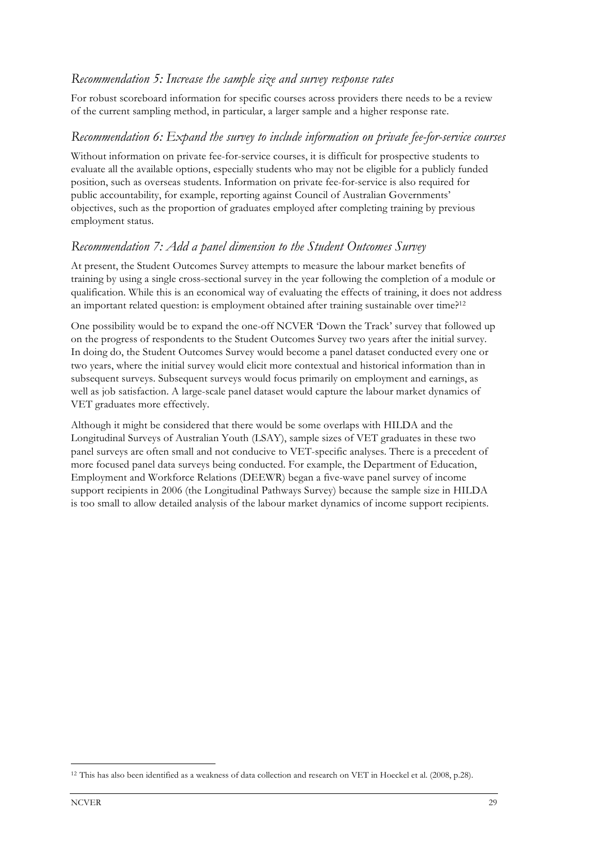### *Recommendation 5: Increase the sample size and survey response rates*

For robust scoreboard information for specific courses across providers there needs to be a review of the current sampling method, in particular, a larger sample and a higher response rate.

#### *Recommendation 6: Expand the survey to include information on private fee-for-service courses*

Without information on private fee-for-service courses, it is difficult for prospective students to evaluate all the available options, especially students who may not be eligible for a publicly funded position, such as overseas students. Information on private fee-for-service is also required for public accountability, for example, reporting against Council of Australian Governments' objectives, such as the proportion of graduates employed after completing training by previous employment status.

#### *Recommendation 7: Add a panel dimension to the Student Outcomes Survey*

At present, the Student Outcomes Survey attempts to measure the labour market benefits of training by using a single cross-sectional survey in the year following the completion of a module or qualification. While this is an economical way of evaluating the effects of training, it does not address an important related question: is employment obtained after training sustainable over time?<sup>12</sup>

One possibility would be to expand the one-off NCVER 'Down the Track' survey that followed up on the progress of respondents to the Student Outcomes Survey two years after the initial survey. In doing do, the Student Outcomes Survey would become a panel dataset conducted every one or two years, where the initial survey would elicit more contextual and historical information than in subsequent surveys. Subsequent surveys would focus primarily on employment and earnings, as well as job satisfaction. A large-scale panel dataset would capture the labour market dynamics of VET graduates more effectively.

Although it might be considered that there would be some overlaps with HILDA and the Longitudinal Surveys of Australian Youth (LSAY), sample sizes of VET graduates in these two panel surveys are often small and not conducive to VET-specific analyses. There is a precedent of more focused panel data surveys being conducted. For example, the Department of Education, Employment and Workforce Relations (DEEWR) began a five-wave panel survey of income support recipients in 2006 (the Longitudinal Pathways Survey) because the sample size in HILDA is too small to allow detailed analysis of the labour market dynamics of income support recipients.

1

<sup>12</sup> This has also been identified as a weakness of data collection and research on VET in Hoeckel et al. (2008, p.28).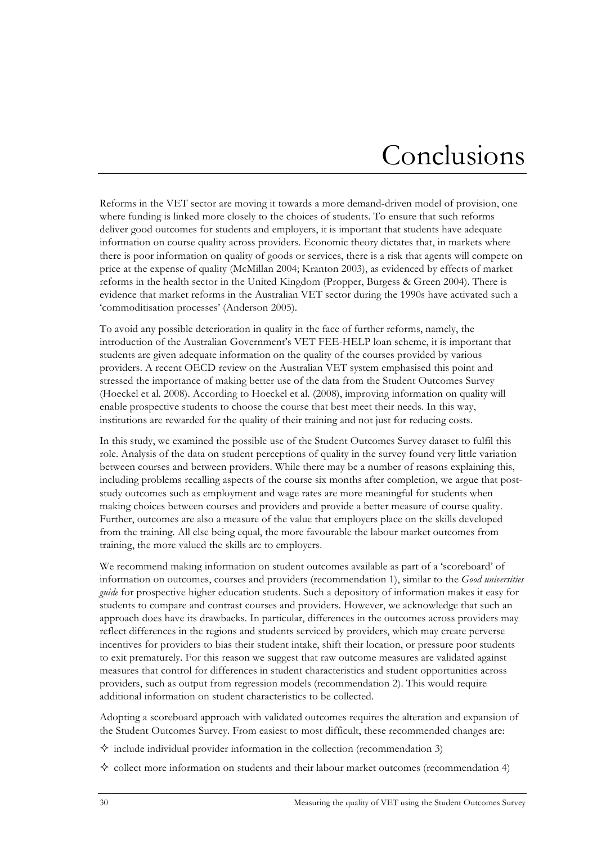## Conclusions

Reforms in the VET sector are moving it towards a more demand-driven model of provision, one where funding is linked more closely to the choices of students. To ensure that such reforms deliver good outcomes for students and employers, it is important that students have adequate information on course quality across providers. Economic theory dictates that, in markets where there is poor information on quality of goods or services, there is a risk that agents will compete on price at the expense of quality (McMillan 2004; Kranton 2003), as evidenced by effects of market reforms in the health sector in the United Kingdom (Propper, Burgess & Green 2004). There is evidence that market reforms in the Australian VET sector during the 1990s have activated such a 'commoditisation processes' (Anderson 2005).

To avoid any possible deterioration in quality in the face of further reforms, namely, the introduction of the Australian Government's VET FEE-HELP loan scheme, it is important that students are given adequate information on the quality of the courses provided by various providers. A recent OECD review on the Australian VET system emphasised this point and stressed the importance of making better use of the data from the Student Outcomes Survey (Hoeckel et al. 2008). According to Hoeckel et al. (2008), improving information on quality will enable prospective students to choose the course that best meet their needs. In this way, institutions are rewarded for the quality of their training and not just for reducing costs.

In this study, we examined the possible use of the Student Outcomes Survey dataset to fulfil this role. Analysis of the data on student perceptions of quality in the survey found very little variation between courses and between providers. While there may be a number of reasons explaining this, including problems recalling aspects of the course six months after completion, we argue that poststudy outcomes such as employment and wage rates are more meaningful for students when making choices between courses and providers and provide a better measure of course quality. Further, outcomes are also a measure of the value that employers place on the skills developed from the training. All else being equal, the more favourable the labour market outcomes from training, the more valued the skills are to employers.

We recommend making information on student outcomes available as part of a 'scoreboard' of information on outcomes, courses and providers (recommendation 1), similar to the *Good universities guide* for prospective higher education students. Such a depository of information makes it easy for students to compare and contrast courses and providers. However, we acknowledge that such an approach does have its drawbacks. In particular, differences in the outcomes across providers may reflect differences in the regions and students serviced by providers, which may create perverse incentives for providers to bias their student intake, shift their location, or pressure poor students to exit prematurely. For this reason we suggest that raw outcome measures are validated against measures that control for differences in student characteristics and student opportunities across providers, such as output from regression models (recommendation 2). This would require additional information on student characteristics to be collected.

Adopting a scoreboard approach with validated outcomes requires the alteration and expansion of the Student Outcomes Survey. From easiest to most difficult, these recommended changes are:

- $\diamond$  include individual provider information in the collection (recommendation 3)
- $\diamondsuit$  collect more information on students and their labour market outcomes (recommendation 4)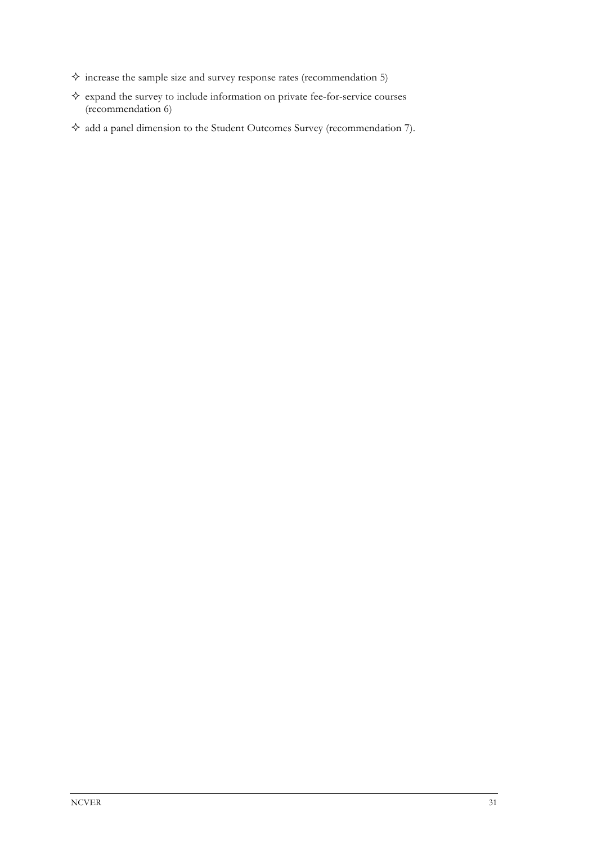- $\diamond$  increase the sample size and survey response rates (recommendation 5)
- $\Leftrightarrow$  expand the survey to include information on private fee-for-service courses (recommendation 6)
- $\diamond$  add a panel dimension to the Student Outcomes Survey (recommendation 7).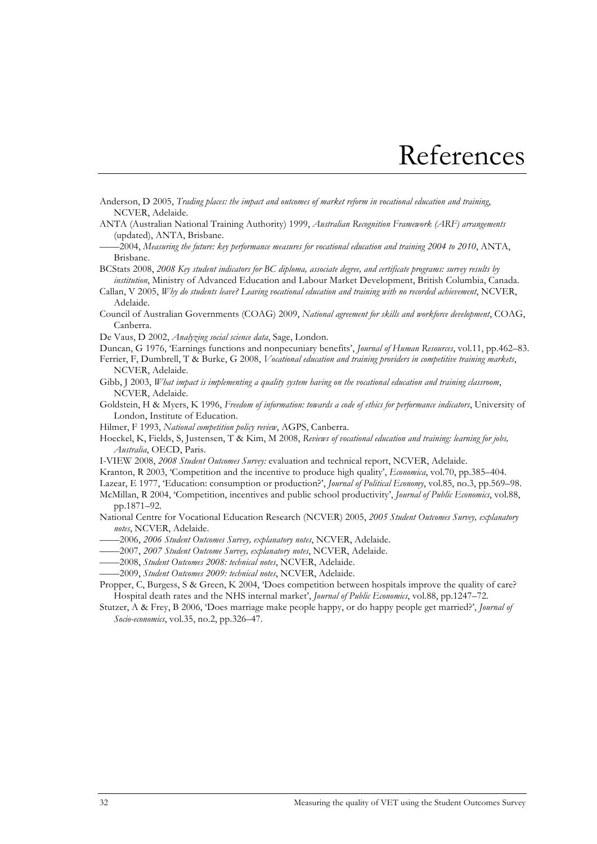## References

- Anderson, D 2005, *Trading places: the impact and outcomes of market reform in vocational education and training*, NCVER, Adelaide.
- ANTA (Australian National Training Authority) 1999, *Australian Recognition Framework (ARF) arrangements* (updated), ANTA, Brisbane.
- ——2004, *Measuring the future: key performance measures for vocational education and training 2004 to 2010*, ANTA, Brisbane.
- BCStats 2008, *2008 Key student indicators for BC diploma, associate degree, and certificate programs: survey results by institution*, Ministry of Advanced Education and Labour Market Development, British Columbia, Canada.
- Callan, V 2005, *Why do students leave? Leaving vocational education and training with no recorded achievement*, NCVER, Adelaide.
- Council of Australian Governments (COAG) 2009, *National agreement for skills and workforce development*, COAG, Canberra.
- De Vaus, D 2002, *Analyzing social science data*, Sage, London.
- Duncan, G 1976, 'Earnings functions and nonpecuniary benefits', *Journal of Human Resources*, vol.11, pp.462–83. Ferrier, F, Dumbrell, T & Burke, G 2008, *Vocational education and training providers in competitive training markets*, NCVER, Adelaide.
- Gibb, J 2003, *What impact is implementing a quality system having on the vocational education and training classroom*, NCVER, Adelaide.
- Goldstein, H & Myers, K 1996, *Freedom of information: towards a code of ethics for performance indicators*, University of London, Institute of Education.
- Hilmer, F 1993, *National competition policy review*, AGPS, Canberra.
- Hoeckel, K, Fields, S, Justensen, T & Kim, M 2008, *Reviews of vocational education and training: learning for jobs, Australia*, OECD, Paris.
- I-VIEW 2008, *2008 Student Outcomes Survey:* evaluation and technical report, NCVER, Adelaide.
- Kranton, R 2003, 'Competition and the incentive to produce high quality', *Economica*, vol.70, pp.385–404.
- Lazear, E 1977, 'Education: consumption or production?', *Journal of Political Economy*, vol.85, no.3, pp.569–98.
- McMillan, R 2004, 'Competition, incentives and public school productivity', *Journal of Public Economics*, vol.88, pp.1871–92.
- National Centre for Vocational Education Research (NCVER) 2005, *2005 Student Outcomes Survey, explanatory notes*, NCVER, Adelaide.
- ——2006, *2006 Student Outcomes Survey, explanatory notes*, NCVER, Adelaide.
- ——2007, *2007 Student Outcome Survey, explanatory notes*, NCVER, Adelaide.
- ——2008, *Student Outcomes 2008: technical notes*, NCVER, Adelaide.
- ——2009, *Student Outcomes 2009: technical notes*, NCVER, Adelaide.

Propper, C, Burgess, S & Green, K 2004, 'Does competition between hospitals improve the quality of care? Hospital death rates and the NHS internal market', *Journal of Public Economics*, vol.88, pp.1247–72.

Stutzer, A & Frey, B 2006, 'Does marriage make people happy, or do happy people get married?', *Journal of Socio-economics*, vol.35, no.2, pp.326–47.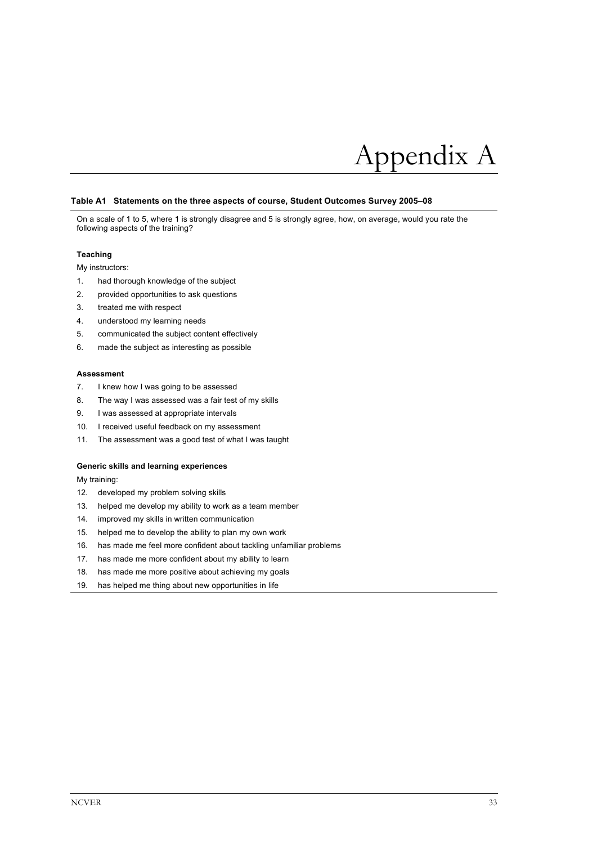

#### **Table A1 Statements on the three aspects of course, Student Outcomes Survey 2005–08**

On a scale of 1 to 5, where 1 is strongly disagree and 5 is strongly agree, how, on average, would you rate the following aspects of the training?

#### **Teaching**

My instructors:

- 1. had thorough knowledge of the subject
- 2. provided opportunities to ask questions
- 3. treated me with respect
- 4. understood my learning needs
- 5. communicated the subject content effectively
- 6. made the subject as interesting as possible

#### **Assessment**

- 7. I knew how I was going to be assessed
- 8. The way I was assessed was a fair test of my skills
- 9. I was assessed at appropriate intervals
- 10. I received useful feedback on my assessment
- 11. The assessment was a good test of what I was taught

#### **Generic skills and learning experiences**

My training:

- 12. developed my problem solving skills
- 13. helped me develop my ability to work as a team member
- 14. improved my skills in written communication
- 15. helped me to develop the ability to plan my own work
- 16. has made me feel more confident about tackling unfamiliar problems
- 17. has made me more confident about my ability to learn
- 18. has made me more positive about achieving my goals
- 19. has helped me thing about new opportunities in life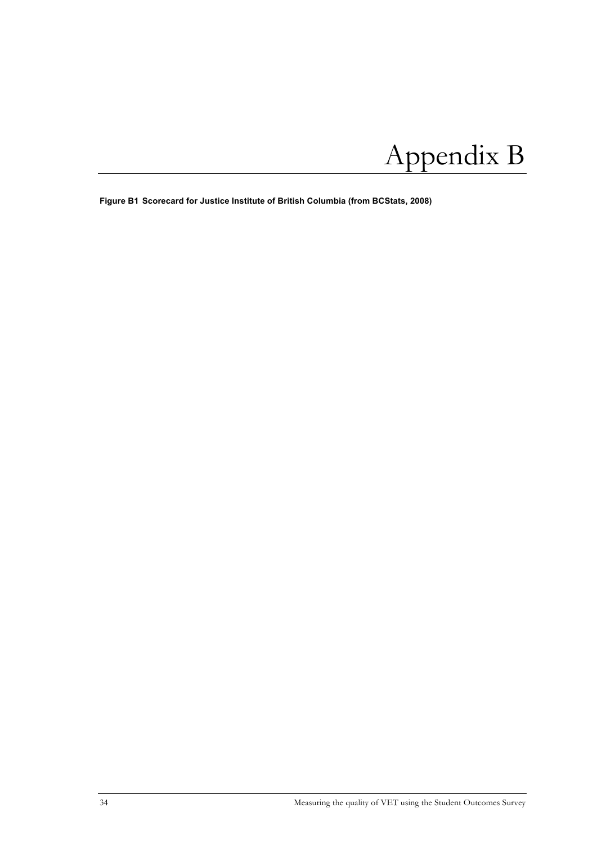# Appendix B

**Figure B1 Scorecard for Justice Institute of British Columbia (from BCStats, 2008)**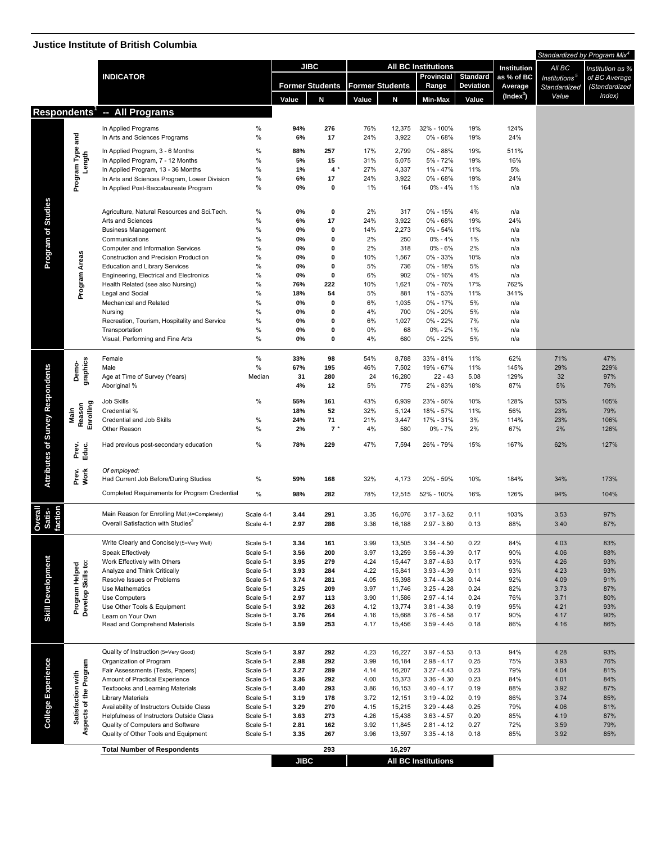### **Justice Institute of British Columbia**

|                           |                                      | <b>JUSTICE INSTITUTE OF BITTISH COMMINIST</b>                                         |                        |                        |             |                        |                  |                                |                 |              |                           | Standardized by Program Mix <sup>4</sup> |
|---------------------------|--------------------------------------|---------------------------------------------------------------------------------------|------------------------|------------------------|-------------|------------------------|------------------|--------------------------------|-----------------|--------------|---------------------------|------------------------------------------|
|                           |                                      |                                                                                       |                        | <b>JIBC</b>            |             |                        |                  | <b>All BC Institutions</b>     |                 | Institution  | All BC                    | Institution as %                         |
|                           |                                      | <b>INDICATOR</b>                                                                      |                        |                        |             |                        |                  | Provincial                     | <b>Standard</b> | as % of BC   | Institutions <sup>5</sup> | of BC Average                            |
|                           |                                      |                                                                                       |                        | <b>Former Students</b> |             | <b>Former Students</b> |                  | Range                          | Deviation       | Average      | Standardized              | (Standardized                            |
|                           |                                      |                                                                                       |                        | Value                  | N           | Value                  | N                | Min-Max                        | Value           | $(Index^3)$  | Value                     | Index)                                   |
|                           |                                      | Respondents <sup>1</sup> -- All Programs                                              |                        |                        |             |                        |                  |                                |                 |              |                           |                                          |
|                           |                                      |                                                                                       | %                      | 94%                    | 276         | 76%                    |                  |                                | 19%             | 124%         |                           |                                          |
|                           |                                      | In Applied Programs<br>In Arts and Sciences Programs                                  | %                      | 6%                     | 17          | 24%                    | 12,375<br>3,922  | 32% - 100%<br>0% - 68%         | 19%             | 24%          |                           |                                          |
|                           | Program Type and                     |                                                                                       | $\%$                   |                        |             |                        |                  |                                |                 |              |                           |                                          |
|                           | Length                               | In Applied Program, 3 - 6 Months<br>In Applied Program, 7 - 12 Months                 | %                      | 88%<br>5%              | 257<br>15   | 17%<br>31%             | 2,799<br>5,075   | 0% - 88%<br>5% - 72%           | 19%<br>19%      | 511%<br>16%  |                           |                                          |
|                           |                                      | In Applied Program, 13 - 36 Months                                                    | %                      | 1%                     | $4 *$       | 27%                    | 4,337            | 1% - 47%                       | 11%             | 5%           |                           |                                          |
|                           |                                      | In Arts and Sciences Program, Lower Division                                          | $\%$                   | 6%                     | 17          | 24%                    | 3,922            | 0% - 68%                       | 19%             | 24%          |                           |                                          |
|                           |                                      | In Applied Post-Baccalaureate Program                                                 | %                      | 0%                     | 0           | 1%                     | 164              | $0\% - 4\%$                    | 1%              | n/a          |                           |                                          |
|                           |                                      |                                                                                       |                        |                        |             |                        |                  |                                |                 |              |                           |                                          |
| <b>Studies</b>            |                                      | Agriculture, Natural Resources and Sci.Tech.                                          | $\%$                   | 0%                     | 0           | 2%                     | 317              | $0\% - 15\%$                   | 4%              | n/a          |                           |                                          |
|                           |                                      | Arts and Sciences                                                                     | %                      | 6%                     | 17          | 24%                    | 3,922            | 0% - 68%                       | 19%             | 24%          |                           |                                          |
| ð                         |                                      | <b>Business Management</b><br>Communications                                          | %<br>%                 | 0%<br>0%               | 0<br>0      | 14%<br>2%              | 2,273<br>250     | 0% - 54%<br>$0\% - 4\%$        | 11%<br>1%       | n/a<br>n/a   |                           |                                          |
| Program                   |                                      | Computer and Information Services                                                     | %                      | 0%                     | 0           | 2%                     | 318              | $0\% - 6\%$                    | 2%              | n/a          |                           |                                          |
|                           | Program Areas                        | Construction and Precision Production                                                 | %                      | 0%                     | 0           | 10%                    | 1,567            | 0% - 33%                       | 10%             | n/a          |                           |                                          |
|                           |                                      | <b>Education and Library Services</b>                                                 | %                      | 0%                     | 0           | 5%                     | 736              | $0\% - 18\%$                   | 5%              | n/a          |                           |                                          |
|                           |                                      | Engineering, Electrical and Electronics                                               | %                      | 0%                     | $\mathbf 0$ | 6%                     | 902              | $0\% - 16\%$                   | 4%              | n/a          |                           |                                          |
|                           |                                      | Health Related (see also Nursing)<br>Legal and Social                                 | %<br>%                 | 76%<br>18%             | 222<br>54   | 10%<br>5%              | 1,621<br>881     | 0% - 76%<br>1% - 53%           | 17%<br>11%      | 762%<br>341% |                           |                                          |
|                           |                                      | Mechanical and Related                                                                | %                      | 0%                     | 0           | 6%                     | 1,035            | 0% - 17%                       | 5%              | n/a          |                           |                                          |
|                           |                                      | Nursing                                                                               | %                      | 0%                     | 0           | 4%                     | 700              | 0% - 20%                       | 5%              | n/a          |                           |                                          |
|                           |                                      | Recreation, Tourism, Hospitality and Service                                          | %                      | 0%                     | 0           | 6%                     | 1,027            | 0% - 22%                       | 7%              | n/a          |                           |                                          |
|                           |                                      | Transportation                                                                        | %                      | 0%                     | 0           | 0%                     | 68               | 0% - 2%                        | 1%              | n/a          |                           |                                          |
|                           |                                      | Visual, Performing and Fine Arts                                                      | %                      | 0%                     | $\mathbf 0$ | 4%                     | 680              | 0% - 22%                       | 5%              | n/a          |                           |                                          |
|                           |                                      | Female                                                                                | $\%$                   | 33%                    | 98          | 54%                    | 8,788            | 33% - 81%                      | 11%             | 62%          | 71%                       | 47%                                      |
|                           | graphics<br>Demo-                    | Male                                                                                  | %                      | 67%                    | 195         | 46%                    | 7,502            | 19% - 67%                      | 11%             | 145%         | 29%                       | 229%                                     |
|                           |                                      | Age at Time of Survey (Years)                                                         | Median                 | 31                     | 280         | 24                     | 16,280           | $22 - 43$                      | 5.08            | 129%         | 32                        | 97%                                      |
|                           |                                      | Aboriginal %                                                                          |                        | 4%                     | 12          | 5%                     | 775              | 2% - 83%                       | 18%             | 87%          | 5%                        | 76%                                      |
|                           |                                      | Job Skills                                                                            | %                      | 55%                    | 161         | 43%                    | 6,939            | 23% - 56%                      | 10%             | 128%         | 53%                       | 105%                                     |
|                           | Main                                 | Credential %                                                                          |                        | 18%                    | 52          | 32%                    | 5,124            | 18% - 57%                      | 11%             | 56%          | 23%                       | 79%                                      |
|                           | Reason<br>Enrolling                  | Credential and Job Skills                                                             | %                      | 24%                    | 71          | 21%                    | 3,447            | 17% - 31%                      | 3%              | 114%         | 23%                       | 106%                                     |
| <b>Survey Respondents</b> |                                      | Other Reason                                                                          | %                      | 2%                     | $7 *$       | 4%                     | 580              | 0% - 7%                        | 2%              | 67%          | 2%                        | 126%                                     |
|                           |                                      | Had previous post-secondary education                                                 | %                      | 78%                    | 229         | 47%                    | 7,594            | 26% - 79%                      | 15%             | 167%         | 62%                       | 127%                                     |
| Attributes of             | Prev.<br>Educ.                       |                                                                                       |                        |                        |             |                        |                  |                                |                 |              |                           |                                          |
|                           |                                      | Of employed:                                                                          |                        |                        |             |                        |                  |                                |                 |              |                           |                                          |
|                           | Prev.<br>Work                        | Had Current Job Before/During Studies                                                 | %                      | 59%                    | 168         | 32%                    | 4,173            | 20% - 59%                      | 10%             | 184%         | 34%                       | 173%                                     |
|                           |                                      | Completed Requirements for Program Credential                                         | $\%$                   | 98%                    | 282         | 78%                    | 12,515           | 52% - 100%                     | 16%             | 126%         | 94%                       | 104%                                     |
|                           |                                      |                                                                                       |                        |                        |             |                        |                  |                                |                 |              |                           |                                          |
| ction<br>erall<br>atis-   |                                      | Main Reason for Enrolling Met (4=Completely)                                          | Scale 4-1              | 3.44                   | 291         | 3.35                   | 16,076           | $3.17 - 3.62$                  | 0.11            | 103%         | 3.53                      | 97%                                      |
| <u>ర ని డ</u>             |                                      | Overall Satisfaction with Studies <sup>2</sup>                                        | Scale 4-1              | 2.97                   | 286         | 3.36                   | 16,188           | $2.97 - 3.60$                  | 0.13            | 88%          | 3.40                      | 87%                                      |
|                           |                                      |                                                                                       |                        |                        |             |                        |                  |                                |                 |              |                           |                                          |
|                           |                                      | Write Clearly and Concisely (5=Very Well)                                             | Scale 5-1<br>Scale 5-1 | 3.34                   | 161         | 3.99                   | 13,505           | $3.34 - 4.50$                  | 0.22            | 84%<br>90%   | 4.03                      | 83%<br>88%                               |
|                           |                                      | Speak Effectively<br>Work Effectively with Others                                     | Scale 5-1              | 3.56<br>3.95           | 200<br>279  | 3.97<br>4.24           | 13,259<br>15,447 | $3.56 - 4.39$<br>$3.87 - 4.63$ | 0.17<br>0.17    | 93%          | 4.06<br>4.26              | 93%                                      |
|                           |                                      | Analyze and Think Critically                                                          | Scale 5-1              | 3.93                   | 284         | 4.22                   | 15,841           | $3.93 - 4.39$                  | 0.11            | 93%          | 4.23                      | 93%                                      |
|                           |                                      | Resolve Issues or Problems                                                            | Scale 5-1              | 3.74                   | 281         | 4.05                   | 15,398           | $3.74 - 4.38$                  | 0.14            | 92%          | 4.09                      | 91%                                      |
|                           |                                      | Use Mathematics                                                                       | Scale 5-1              | 3.25                   | 209         | 3.97                   | 11,746           | $3.25 - 4.28$                  | 0.24            | 82%          | 3.73                      | 87%                                      |
| <b>Skill Development</b>  | Program Helped<br>Develop Skills to: | Use Computers                                                                         | Scale 5-1              | 2.97                   | 113         | 3.90                   | 11,586           | $2.97 - 4.14$                  | 0.24            | 76%          | 3.71                      | 80%                                      |
|                           |                                      | Use Other Tools & Equipment<br>Learn on Your Own                                      | Scale 5-1<br>Scale 5-1 | 3.92<br>3.76           | 263<br>264  | 4.12<br>4.16           | 13,774<br>15,668 | $3.81 - 4.38$<br>$3.76 - 4.58$ | 0.19<br>0.17    | 95%<br>90%   | 4.21<br>4.17              | 93%<br>90%                               |
|                           |                                      | Read and Comprehend Materials                                                         | Scale 5-1              | 3.59                   | 253         | 4.17                   | 15,456           | $3.59 - 4.45$                  | 0.18            | 86%          | 4.16                      | 86%                                      |
|                           |                                      |                                                                                       |                        |                        |             |                        |                  |                                |                 |              |                           |                                          |
|                           |                                      |                                                                                       |                        |                        |             |                        |                  |                                |                 |              |                           |                                          |
|                           |                                      | Quality of Instruction (5=Very Good)<br>Organization of Program                       | Scale 5-1<br>Scale 5-1 | 3.97<br>2.98           | 292<br>292  | 4.23<br>3.99           | 16,227<br>16,184 | $3.97 - 4.53$<br>$2.98 - 4.17$ | 0.13<br>0.25    | 94%<br>75%   | 4.28<br>3.93              | 93%<br>76%                               |
| College Experience        | of the Program                       | Fair Assessments (Tests, Papers)                                                      | Scale 5-1              | 3.27                   | 289         | 4.14                   | 16,207           | $3.27 - 4.43$                  | 0.23            | 79%          | 4.04                      | 81%                                      |
|                           |                                      | Amount of Practical Experience                                                        | Scale 5-1              | 3.36                   | 292         | 4.00                   | 15,373           | $3.36 - 4.30$                  | 0.23            | 84%          | 4.01                      | 84%                                      |
|                           |                                      | Textbooks and Learning Materials                                                      | Scale 5-1              | 3.40                   | 293         | 3.86                   | 16,153           | $3.40 - 4.17$                  | 0.19            | 88%          | 3.92                      | 87%                                      |
|                           |                                      | <b>Library Materials</b>                                                              | Scale 5-1              | 3.19                   | 178         | 3.72                   | 12,151           | $3.19 - 4.02$                  | 0.19            | 86%          | 3.74                      | 85%                                      |
|                           | Satisfaction with                    | Availability of Instructors Outside Class<br>Helpfulness of Instructors Outside Class | Scale 5-1<br>Scale 5-1 | 3.29<br>3.63           | 270<br>273  | 4.15<br>4.26           | 15,215<br>15,438 | $3.29 - 4.48$<br>$3.63 - 4.57$ | 0.25<br>0.20    | 79%<br>85%   | 4.06<br>4.19              | 81%<br>87%                               |
|                           | Aspects                              | Quality of Computers and Software                                                     | Scale 5-1              | 2.81                   | 162         | 3.92                   | 11,845           | $2.81 - 4.12$                  | 0.27            | 72%          | 3.59                      | 79%                                      |
|                           |                                      | Quality of Other Tools and Equipment                                                  | Scale 5-1              | 3.35                   | 267         | 3.96                   | 13,597           | $3.35 - 4.18$                  | 0.18            | 85%          | 3.92                      | 85%                                      |
|                           |                                      | <b>Total Number of Respondents</b>                                                    |                        |                        | 293         |                        | 16,297           |                                |                 |              |                           |                                          |
|                           |                                      |                                                                                       |                        | <b>JIBC</b>            |             |                        |                  | <b>All BC Institutions</b>     |                 |              |                           |                                          |